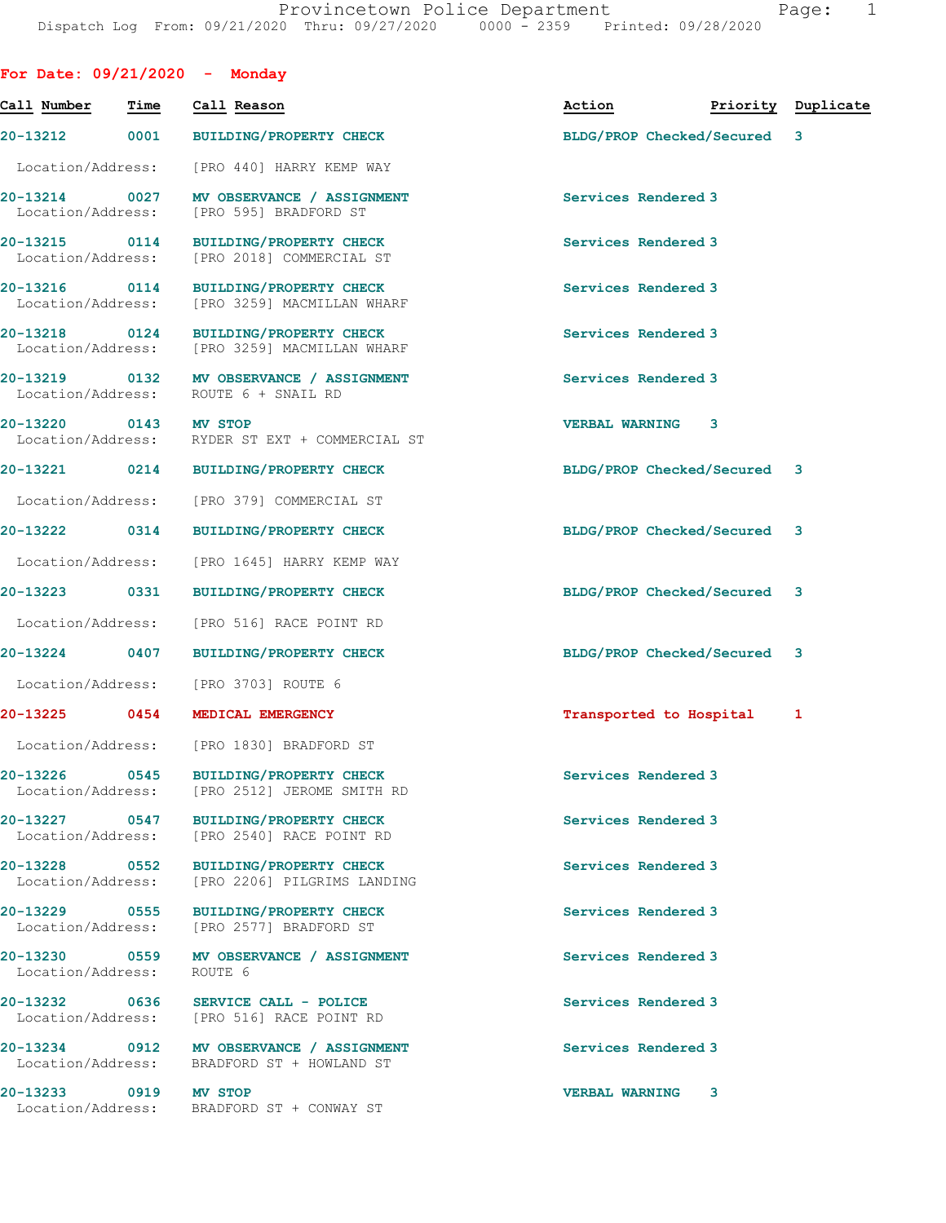| For Date: $09/21/2020 -$ Monday    |      |                                                                                       |                             |                    |
|------------------------------------|------|---------------------------------------------------------------------------------------|-----------------------------|--------------------|
| Call Number                        | Time | Call Reason                                                                           | Action                      | Priority Duplicate |
| 20-13212                           | 0001 | <b>BUILDING/PROPERTY CHECK</b>                                                        | BLDG/PROP Checked/Secured 3 |                    |
| Location/Address:                  |      | [PRO 440] HARRY KEMP WAY                                                              |                             |                    |
| 20-13214 0027<br>Location/Address: |      | MV OBSERVANCE / ASSIGNMENT<br>[PRO 595] BRADFORD ST                                   | Services Rendered 3         |                    |
| 20-13215 0114<br>Location/Address: |      | <b>BUILDING/PROPERTY CHECK</b><br>[PRO 2018] COMMERCIAL ST                            | Services Rendered 3         |                    |
| 20-13216 0114<br>Location/Address: |      | <b>BUILDING/PROPERTY CHECK</b><br>[PRO 3259] MACMILLAN WHARF                          | Services Rendered 3         |                    |
| 20-13218 0124<br>Location/Address: |      | <b>BUILDING/PROPERTY CHECK</b><br>[PRO 3259] MACMILLAN WHARF                          | Services Rendered 3         |                    |
| 20-13219 0132                      |      | MV OBSERVANCE / ASSIGNMENT<br>Location/Address: ROUTE 6 + SNAIL RD                    | Services Rendered 3         |                    |
| 20-13220 0143 MV STOP              |      | Location/Address: RYDER ST EXT + COMMERCIAL ST                                        | <b>VERBAL WARNING</b><br>3  |                    |
| 20-13221 0214                      |      | <b>BUILDING/PROPERTY CHECK</b>                                                        | BLDG/PROP Checked/Secured 3 |                    |
| Location/Address:                  |      | [PRO 379] COMMERCIAL ST                                                               |                             |                    |
| 20-13222                           | 0314 | <b>BUILDING/PROPERTY CHECK</b>                                                        | BLDG/PROP Checked/Secured 3 |                    |
| Location/Address:                  |      | [PRO 1645] HARRY KEMP WAY                                                             |                             |                    |
| 20-13223 0331                      |      | <b>BUILDING/PROPERTY CHECK</b>                                                        | BLDG/PROP Checked/Secured 3 |                    |
| Location/Address:                  |      | [PRO 516] RACE POINT RD                                                               |                             |                    |
| 20-13224                           | 0407 | <b>BUILDING/PROPERTY CHECK</b>                                                        | BLDG/PROP Checked/Secured 3 |                    |
| Location/Address:                  |      | [PRO 3703] ROUTE 6                                                                    |                             |                    |
| 20-13225                           | 0454 | MEDICAL EMERGENCY                                                                     | Transported to Hospital     | 1                  |
|                                    |      | Location/Address: [PRO 1830] BRADFORD ST                                              |                             |                    |
|                                    |      | 20-13226 0545 BUILDING/PROPERTY CHECK<br>Location/Address: [PRO 2512] JEROME SMITH RD | Services Rendered 3         |                    |
| 20-13227 0547<br>Location/Address: |      | <b>BUILDING/PROPERTY CHECK</b><br>[PRO 2540] RACE POINT RD                            | Services Rendered 3         |                    |
| 20-13228 0552<br>Location/Address: |      | <b>BUILDING/PROPERTY CHECK</b><br>[PRO 2206] PILGRIMS LANDING                         | Services Rendered 3         |                    |
| 20-13229 0555<br>Location/Address: |      | <b>BUILDING/PROPERTY CHECK</b><br>[PRO 2577] BRADFORD ST                              | Services Rendered 3         |                    |
| Location/Address:                  |      | 20-13230 0559 MV OBSERVANCE / ASSIGNMENT<br>ROUTE 6                                   | Services Rendered 3         |                    |
|                                    |      | 20-13232 0636 SERVICE CALL - POLICE<br>Location/Address: [PRO 516] RACE POINT RD      | Services Rendered 3         |                    |
| Location/Address:                  |      | 20-13234 0912 MV OBSERVANCE / ASSIGNMENT<br>BRADFORD ST + HOWLAND ST                  | Services Rendered 3         |                    |
| 20-13233 0919                      |      | <b>MV STOP</b><br>Location/Address: BRADFORD ST + CONWAY ST                           | <b>VERBAL WARNING</b><br>3  |                    |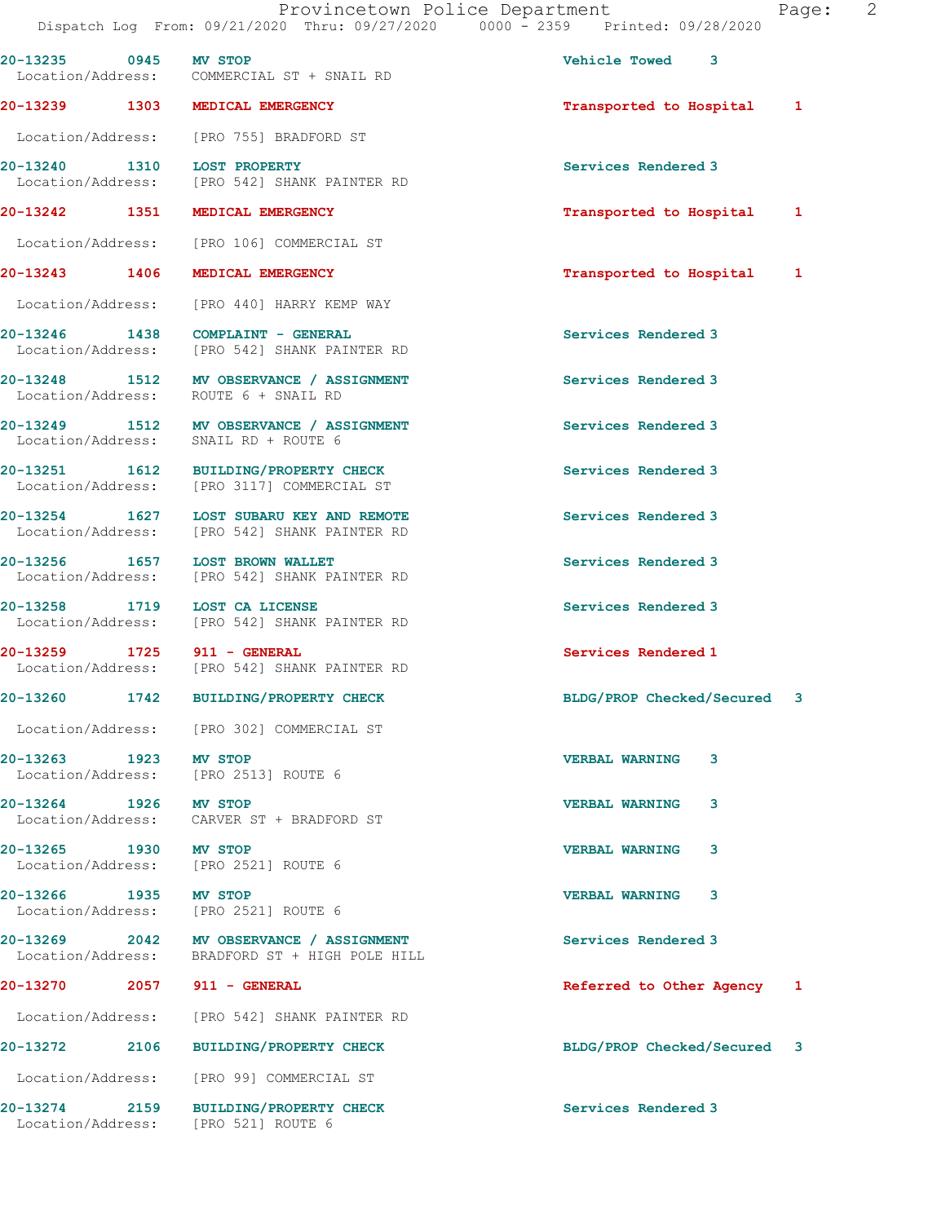| 20-13235 0945 MV STOP         | Location/Address: COMMERCIAL ST + SNAIL RD                                                 | Vehicle Towed 3             |
|-------------------------------|--------------------------------------------------------------------------------------------|-----------------------------|
|                               | 20-13239 1303 MEDICAL EMERGENCY                                                            | Transported to Hospital 1   |
|                               | Location/Address: [PRO 755] BRADFORD ST                                                    |                             |
| 20-13240 1310 LOST PROPERTY   | Location/Address: [PRO 542] SHANK PAINTER RD                                               | Services Rendered 3         |
|                               | 20-13242 1351 MEDICAL EMERGENCY                                                            | Transported to Hospital 1   |
|                               | Location/Address: [PRO 106] COMMERCIAL ST                                                  |                             |
|                               | 20-13243 1406 MEDICAL EMERGENCY                                                            | Transported to Hospital 1   |
|                               | Location/Address: [PRO 440] HARRY KEMP WAY                                                 |                             |
|                               | 20-13246 1438 COMPLAINT - GENERAL<br>Location/Address: [PRO 542] SHANK PAINTER RD          | Services Rendered 3         |
|                               | 20-13248 1512 MV OBSERVANCE / ASSIGNMENT<br>Location/Address: ROUTE 6 + SNAIL RD           | Services Rendered 3         |
|                               | 20-13249 1512 MV OBSERVANCE / ASSIGNMENT<br>Location/Address: SNAIL RD + ROUTE 6           | Services Rendered 3         |
|                               | 20-13251 1612 BUILDING/PROPERTY CHECK<br>Location/Address: [PRO 3117] COMMERCIAL ST        | Services Rendered 3         |
|                               | 20-13254 1627 LOST SUBARU KEY AND REMOTE<br>Location/Address: [PRO 542] SHANK PAINTER RD   | Services Rendered 3         |
|                               | 20-13256 1657 LOST BROWN WALLET<br>Location/Address: [PRO 542] SHANK PAINTER RD            | Services Rendered 3         |
| 20-13258 1719 LOST CA LICENSE | Location/Address: [PRO 542] SHANK PAINTER RD                                               | Services Rendered 3         |
| 20-13259 1725 911 - GENERAL   | Location/Address: [PRO 542] SHANK PAINTER RD                                               | Services Rendered 1         |
|                               | 20-13260 1742 BUILDING/PROPERTY CHECK                                                      | BLDG/PROP Checked/Secured 3 |
|                               | Location/Address: [PRO 302] COMMERCIAL ST                                                  |                             |
| 20-13263 1923 MV STOP         | Location/Address: [PRO 2513] ROUTE 6                                                       | <b>VERBAL WARNING</b><br>3  |
| 20-13264 1926 MV STOP         | Location/Address: CARVER ST + BRADFORD ST                                                  | <b>VERBAL WARNING</b><br>3  |
| 20-13265 1930 MV STOP         | Location/Address: [PRO 2521] ROUTE 6                                                       | <b>VERBAL WARNING</b><br>3  |
| 20-13266 1935 MV STOP         | Location/Address: [PRO 2521] ROUTE 6                                                       | <b>VERBAL WARNING</b><br>3  |
|                               | 20-13269 2042 MV OBSERVANCE / ASSIGNMENT<br>Location/Address: BRADFORD ST + HIGH POLE HILL | Services Rendered 3         |
| 20-13270 2057 911 - GENERAL   |                                                                                            | Referred to Other Agency 1  |
|                               | Location/Address: [PRO 542] SHANK PAINTER RD                                               |                             |
|                               | 20-13272 2106 BUILDING/PROPERTY CHECK                                                      | BLDG/PROP Checked/Secured 3 |
|                               | Location/Address: [PRO 99] COMMERCIAL ST                                                   |                             |
|                               | 20-13274 2159 BUILDING/PROPERTY CHECK<br>Location/Address: [PRO 521] ROUTE 6               | Services Rendered 3         |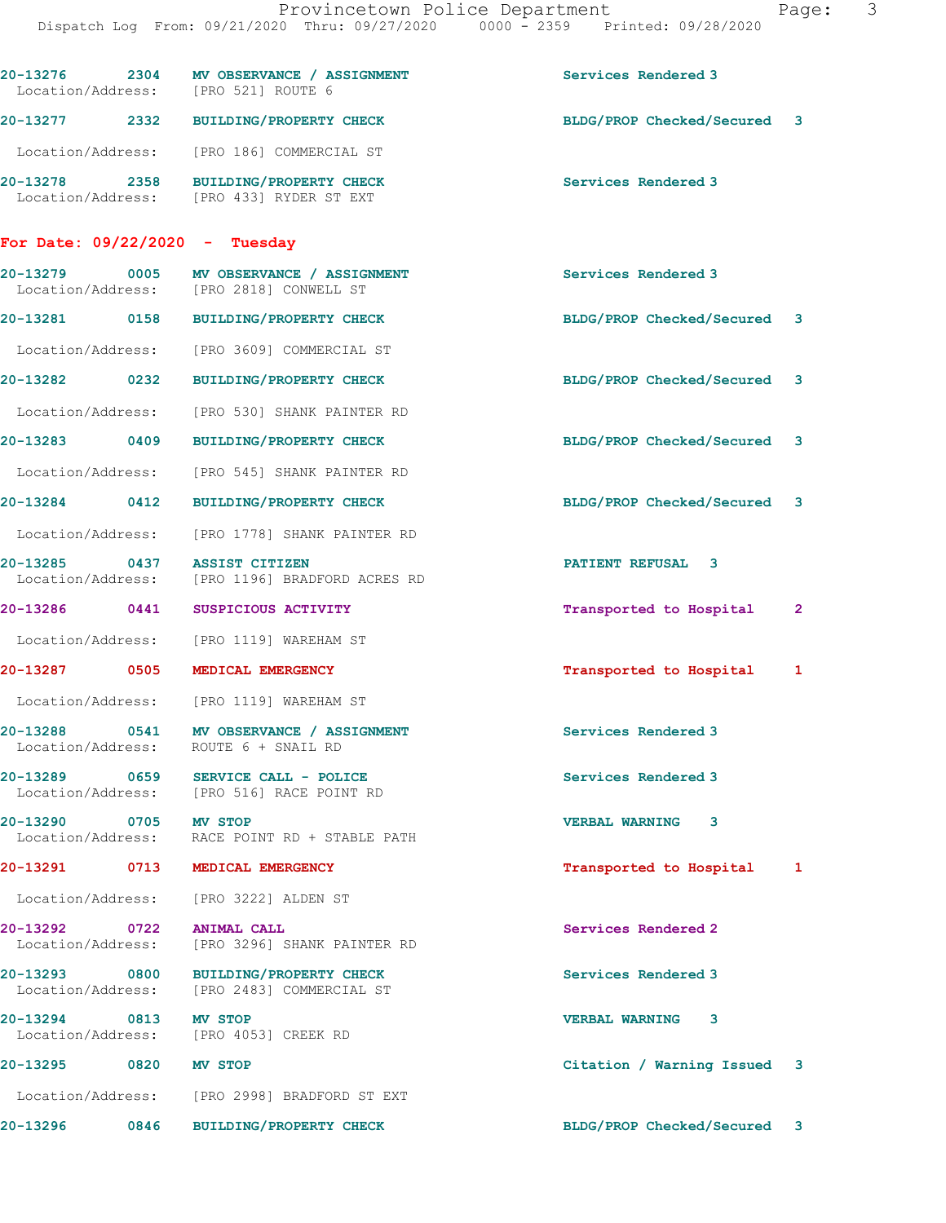|                                  | 20-13276 2304 MV OBSERVANCE / ASSIGNMENT<br>Location/Address: [PRO 521] ROUTE 6     | Services Rendered 3         |   |
|----------------------------------|-------------------------------------------------------------------------------------|-----------------------------|---|
|                                  | 20-13277 2332 BUILDING/PROPERTY CHECK                                               | BLDG/PROP Checked/Secured 3 |   |
|                                  | Location/Address: [PRO 186] COMMERCIAL ST                                           |                             |   |
|                                  | 20-13278 2358 BUILDING/PROPERTY CHECK<br>Location/Address: [PRO 433] RYDER ST EXT   | Services Rendered 3         |   |
| For Date: $09/22/2020 -$ Tuesday |                                                                                     |                             |   |
|                                  | 20-13279 0005 MV OBSERVANCE / ASSIGNMENT<br>Location/Address: [PRO 2818] CONWELL ST | Services Rendered 3         |   |
|                                  | 20-13281 0158 BUILDING/PROPERTY CHECK                                               | BLDG/PROP Checked/Secured 3 |   |
|                                  | Location/Address: [PRO 3609] COMMERCIAL ST                                          |                             |   |
| 20-13282 0232                    | <b>BUILDING/PROPERTY CHECK</b>                                                      | BLDG/PROP Checked/Secured 3 |   |
| Location/Address:                | [PRO 530] SHANK PAINTER RD                                                          |                             |   |
|                                  | 20-13283 0409 BUILDING/PROPERTY CHECK                                               | BLDG/PROP Checked/Secured 3 |   |
| Location/Address:                | [PRO 545] SHANK PAINTER RD                                                          |                             |   |
| 20-13284 0412                    | BUILDING/PROPERTY CHECK                                                             | BLDG/PROP Checked/Secured 3 |   |
| Location/Address:                | [PRO 1778] SHANK PAINTER RD                                                         |                             |   |
| 20-13285 0437                    | <b>ASSIST CITIZEN</b><br>Location/Address: [PRO 1196] BRADFORD ACRES RD             | PATIENT REFUSAL 3           |   |
| 20-13286 0441                    | SUSPICIOUS ACTIVITY                                                                 | Transported to Hospital     | 2 |
|                                  | Location/Address: [PRO 1119] WAREHAM ST                                             |                             |   |
| 20-13287 0505                    | MEDICAL EMERGENCY                                                                   | Transported to Hospital     | 1 |
|                                  | Location/Address: [PRO 1119] WAREHAM ST                                             |                             |   |
|                                  | 20-13288 0541 MV OBSERVANCE / ASSIGNMENT<br>Location/Address: ROUTE 6 + SNAIL RD    | Services Rendered 3         |   |
| 20-13289 0659                    | SERVICE CALL - POLICE<br>Location/Address: [PRO 516] RACE POINT RD                  | Services Rendered 3         |   |
| 20-13290 0705 MV STOP            | Location/Address: RACE POINT RD + STABLE PATH                                       | 3<br><b>VERBAL WARNING</b>  |   |
|                                  | 20-13291 0713 MEDICAL EMERGENCY                                                     | Transported to Hospital     | 1 |
|                                  | Location/Address: [PRO 3222] ALDEN ST                                               |                             |   |
| 20-13292 0722 ANIMAL CALL        | Location/Address: [PRO 3296] SHANK PAINTER RD                                       | Services Rendered 2         |   |
|                                  | 20-13293 0800 BUILDING/PROPERTY CHECK<br>Location/Address: [PRO 2483] COMMERCIAL ST | Services Rendered 3         |   |
| 20-13294 0813 MV STOP            | Location/Address: [PRO 4053] CREEK RD                                               | <b>VERBAL WARNING 3</b>     |   |
| 20-13295 0820 MV STOP            |                                                                                     | Citation / Warning Issued 3 |   |
|                                  | Location/Address: [PRO 2998] BRADFORD ST EXT                                        |                             |   |
|                                  | 20-13296 0846 BUILDING/PROPERTY CHECK                                               | BLDG/PROP Checked/Secured 3 |   |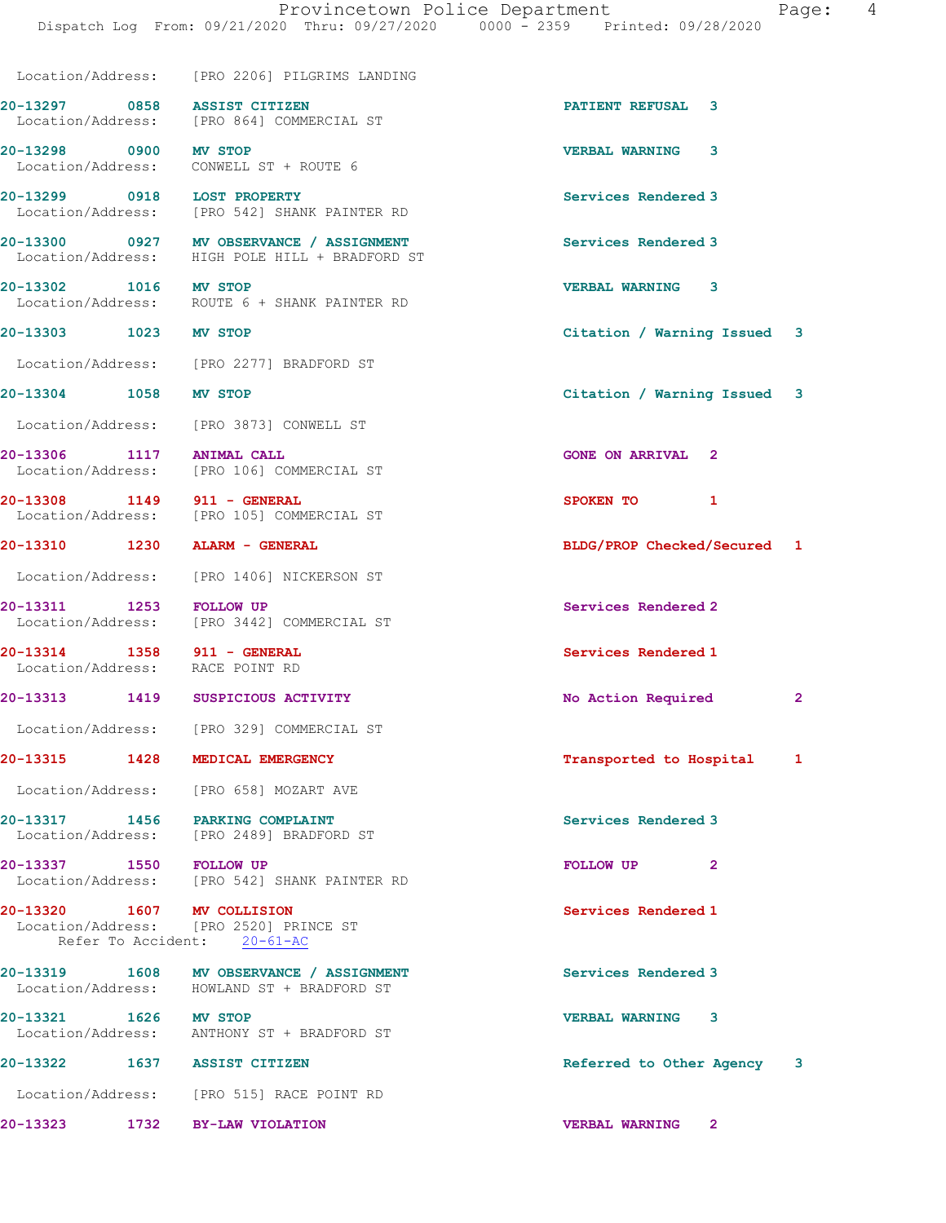|                             | Location/Address: [PRO 2206] PILGRIMS LANDING                                              |                                       |
|-----------------------------|--------------------------------------------------------------------------------------------|---------------------------------------|
|                             | 20-13297 0858 ASSIST CITIZEN<br>Location/Address: [PRO 864] COMMERCIAL ST                  | PATIENT REFUSAL 3                     |
| 20-13298 0900 MV STOP       | Location/Address: CONWELL ST + ROUTE 6                                                     | <b>VERBAL WARNING</b><br>3            |
| 20-13299 0918 LOST PROPERTY | Location/Address: [PRO 542] SHANK PAINTER RD                                               | Services Rendered 3                   |
|                             | 20-13300 0927 MV OBSERVANCE / ASSIGNMENT<br>Location/Address: HIGH POLE HILL + BRADFORD ST | Services Rendered 3                   |
| 20-13302 1016 MV STOP       | Location/Address: ROUTE 6 + SHANK PAINTER RD                                               | <b>VERBAL WARNING 3</b>               |
| 20-13303 1023 MV STOP       |                                                                                            | Citation / Warning Issued 3           |
|                             | Location/Address: [PRO 2277] BRADFORD ST                                                   |                                       |
| 20-13304 1058 MV STOP       |                                                                                            | Citation / Warning Issued 3           |
|                             | Location/Address: [PRO 3873] CONWELL ST                                                    |                                       |
| 20-13306 1117 ANIMAL CALL   | Location/Address: [PRO 106] COMMERCIAL ST                                                  | <b>GONE ON ARRIVAL 2</b>              |
| 20-13308 1149 911 - GENERAL | Location/Address: [PRO 105] COMMERCIAL ST                                                  | SPOKEN TO<br>1                        |
|                             | 20-13310 1230 ALARM - GENERAL                                                              | BLDG/PROP Checked/Secured 1           |
|                             | Location/Address: [PRO 1406] NICKERSON ST                                                  |                                       |
| 20-13311 1253 FOLLOW UP     | Location/Address: [PRO 3442] COMMERCIAL ST                                                 | Services Rendered 2                   |
| 20-13314 1358 911 - GENERAL | Location/Address: RACE POINT RD                                                            | Services Rendered 1                   |
|                             | 20-13313 1419 SUSPICIOUS ACTIVITY                                                          | No Action Required<br>$\overline{2}$  |
|                             | Location/Address: [PRO 329] COMMERCIAL ST                                                  |                                       |
|                             | 20-13315 1428 MEDICAL EMERGENCY                                                            | Transported to Hospital 1             |
|                             | Location/Address: [PRO 658] MOZART AVE                                                     |                                       |
|                             | 20-13317 1456 PARKING COMPLAINT<br>Location/Address: [PRO 2489] BRADFORD ST                | Services Rendered 3                   |
| 20-13337 1550 FOLLOW UP     | Location/Address: [PRO 542] SHANK PAINTER RD                                               | $\overline{2}$<br>FOLLOW UP           |
| 20-13320 1607 MV COLLISION  | Location/Address: [PRO 2520] PRINCE ST<br>Refer To Accident: 20-61-AC                      | Services Rendered 1                   |
|                             | 20-13319 1608 MV OBSERVANCE / ASSIGNMENT<br>Location/Address: HOWLAND ST + BRADFORD ST     | Services Rendered 3                   |
| 20-13321 1626 MV STOP       | Location/Address: ANTHONY ST + BRADFORD ST                                                 | <b>VERBAL WARNING 3</b>               |
|                             | 20-13322 1637 ASSIST CITIZEN                                                               | Referred to Other Agency 3            |
|                             | Location/Address: [PRO 515] RACE POINT RD                                                  |                                       |
|                             | 20-13323 1732 BY-LAW VIOLATION                                                             | <b>VERBAL WARNING</b><br>$\mathbf{2}$ |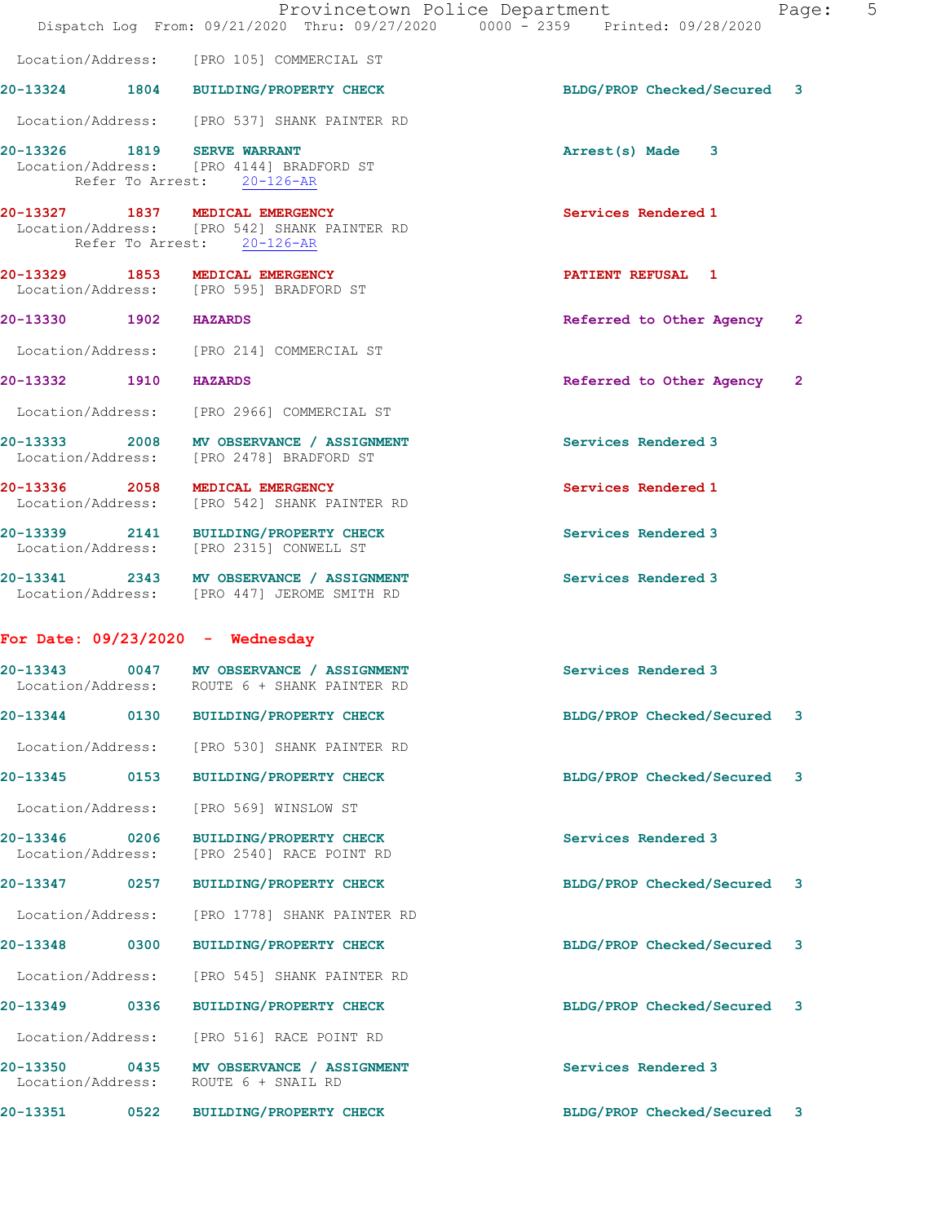|                                       |                                                                                                               | Provincetown Police Department<br>Dispatch Log From: 09/21/2020 Thru: 09/27/2020 0000 - 2359 Printed: 09/28/2020 | Page:        | 5 |
|---------------------------------------|---------------------------------------------------------------------------------------------------------------|------------------------------------------------------------------------------------------------------------------|--------------|---|
|                                       | Location/Address: [PRO 105] COMMERCIAL ST                                                                     |                                                                                                                  |              |   |
|                                       | 20-13324 1804 BUILDING/PROPERTY CHECK                                                                         | BLDG/PROP Checked/Secured 3                                                                                      |              |   |
|                                       | Location/Address: [PRO 537] SHANK PAINTER RD                                                                  |                                                                                                                  |              |   |
|                                       | 20-13326 1819 SERVE WARRANT<br>Location/Address: [PRO 4144] BRADFORD ST<br>Refer To Arrest: 20-126-AR         | Arrest(s) Made 3                                                                                                 |              |   |
|                                       | 20-13327 1837 MEDICAL EMERGENCY<br>Location/Address: [PRO 542] SHANK PAINTER RD<br>Refer To Arrest: 20-126-AR | Services Rendered 1                                                                                              |              |   |
|                                       | 20-13329 1853 MEDICAL EMERGENCY<br>Location/Address: [PRO 595] BRADFORD ST                                    | PATIENT REFUSAL 1                                                                                                |              |   |
| 20-13330 1902 HAZARDS                 |                                                                                                               | Referred to Other Agency 2                                                                                       |              |   |
|                                       | Location/Address: [PRO 214] COMMERCIAL ST                                                                     |                                                                                                                  |              |   |
| 20-13332 1910 HAZARDS                 |                                                                                                               | Referred to Other Agency                                                                                         | $\mathbf{2}$ |   |
|                                       | Location/Address: [PRO 2966] COMMERCIAL ST                                                                    |                                                                                                                  |              |   |
|                                       | 20-13333 2008 MV OBSERVANCE / ASSIGNMENT<br>Location/Address: [PRO 2478] BRADFORD ST                          | Services Rendered 3                                                                                              |              |   |
|                                       | 20-13336 2058 MEDICAL EMERGENCY<br>Location/Address: [PRO 542] SHANK PAINTER RD                               | Services Rendered 1                                                                                              |              |   |
|                                       | 20-13339 2141 BUILDING/PROPERTY CHECK<br>Location/Address: [PRO 2315] CONWELL ST                              | Services Rendered 3                                                                                              |              |   |
|                                       | 20-13341 2343 MV OBSERVANCE / ASSIGNMENT<br>Location/Address: [PRO 447] JEROME SMITH RD                       | Services Rendered 3                                                                                              |              |   |
|                                       | For Date: $09/23/2020 -$ Wednesday                                                                            |                                                                                                                  |              |   |
|                                       | 20-13343 0047 MV OBSERVANCE / ASSIGNMENT<br>Location/Address: ROUTE 6 + SHANK PAINTER RD                      | Services Rendered 3                                                                                              |              |   |
| 20-13344<br>0130                      | <b>BUILDING/PROPERTY CHECK</b>                                                                                | BLDG/PROP Checked/Secured 3                                                                                      |              |   |
| Location/Address:                     | [PRO 530] SHANK PAINTER RD                                                                                    |                                                                                                                  |              |   |
| 20-13345<br>0153                      | <b>BUILDING/PROPERTY CHECK</b>                                                                                | BLDG/PROP Checked/Secured                                                                                        | 3            |   |
| Location/Address:                     | [PRO 569] WINSLOW ST                                                                                          |                                                                                                                  |              |   |
| 20-13346 0206<br>Location/Address:    | <b>BUILDING/PROPERTY CHECK</b><br>[PRO 2540] RACE POINT RD                                                    | Services Rendered 3                                                                                              |              |   |
| 20-13347<br>0257                      | <b>BUILDING/PROPERTY CHECK</b>                                                                                | BLDG/PROP Checked/Secured 3                                                                                      |              |   |
| Location/Address:                     | [PRO 1778] SHANK PAINTER RD                                                                                   |                                                                                                                  |              |   |
| 20-13348<br>0300                      | BUILDING/PROPERTY CHECK                                                                                       | BLDG/PROP Checked/Secured                                                                                        | 3            |   |
| Location/Address:                     | [PRO 545] SHANK PAINTER RD                                                                                    |                                                                                                                  |              |   |
| 20-13349 0336                         | <b>BUILDING/PROPERTY CHECK</b>                                                                                | BLDG/PROP Checked/Secured 3                                                                                      |              |   |
| Location/Address:                     | [PRO 516] RACE POINT RD                                                                                       |                                                                                                                  |              |   |
| 20-13350<br>0435<br>Location/Address: | MV OBSERVANCE / ASSIGNMENT<br>ROUTE 6 + SNAIL RD                                                              | Services Rendered 3                                                                                              |              |   |
| 0522<br>20-13351                      | <b>BUILDING/PROPERTY CHECK</b>                                                                                | BLDG/PROP Checked/Secured 3                                                                                      |              |   |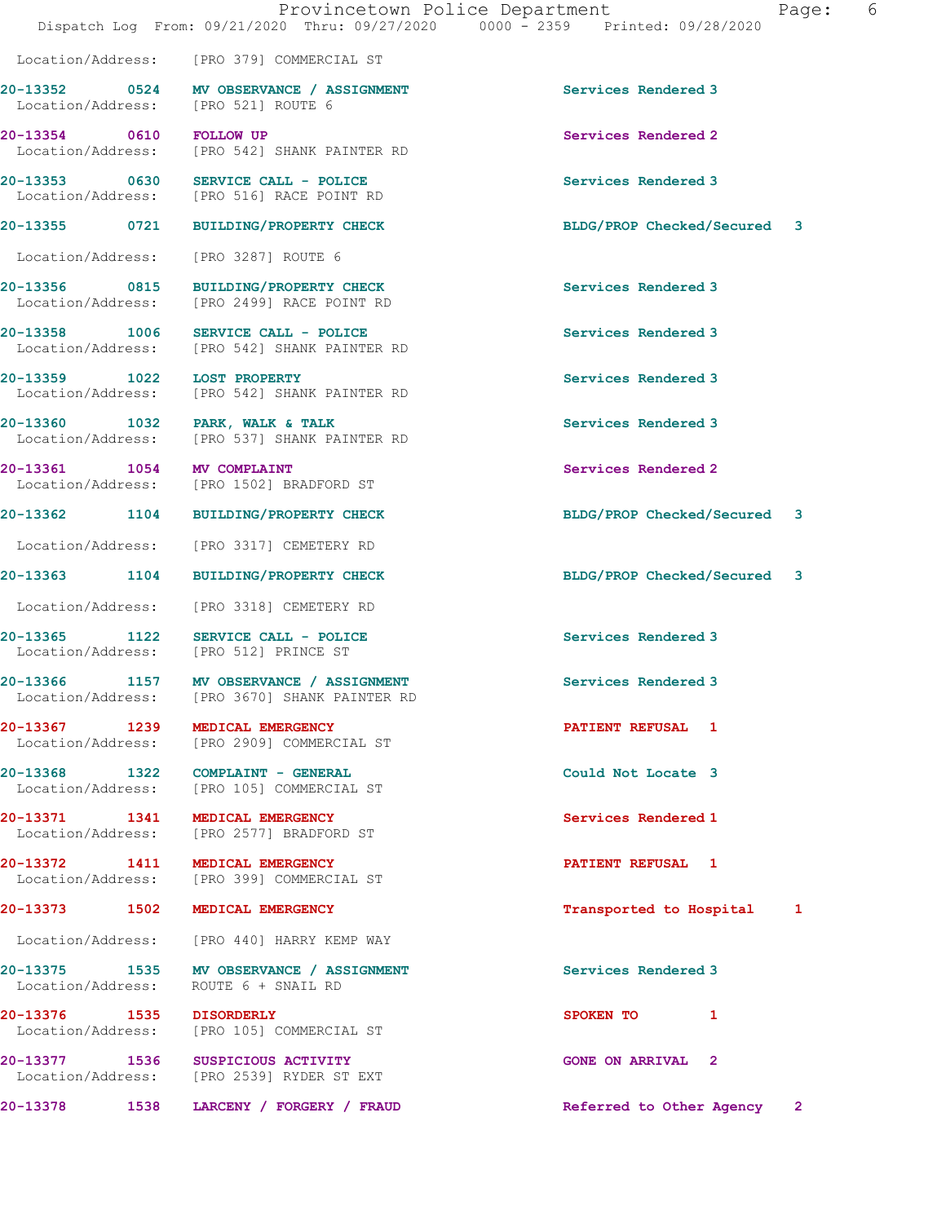|                                                  |                                                                                           | Provincetown Police Department<br>Page:<br>Dispatch Log From: 09/21/2020 Thru: 09/27/2020 0000 - 2359 Printed: 09/28/2020 | 6 |
|--------------------------------------------------|-------------------------------------------------------------------------------------------|---------------------------------------------------------------------------------------------------------------------------|---|
|                                                  | Location/Address: [PRO 379] COMMERCIAL ST                                                 |                                                                                                                           |   |
|                                                  | 20-13352 0524 MV OBSERVANCE / ASSIGNMENT<br>Location/Address: [PRO 521] ROUTE 6           | Services Rendered 3                                                                                                       |   |
| 20-13354 0610 FOLLOW UP                          | Location/Address: [PRO 542] SHANK PAINTER RD                                              | Services Rendered 2                                                                                                       |   |
|                                                  | $20-13353$ 0630 SERVICE CALL - POLICE<br>Location/Address: [PRO 516] RACE POINT RD        | Services Rendered 3                                                                                                       |   |
|                                                  | 20-13355 0721 BUILDING/PROPERTY CHECK                                                     | BLDG/PROP Checked/Secured 3                                                                                               |   |
|                                                  | Location/Address: [PRO 3287] ROUTE 6                                                      |                                                                                                                           |   |
| Location/Address:                                | 20-13356 0815 BUILDING/PROPERTY CHECK<br>[PRO 2499] RACE POINT RD                         | Services Rendered 3                                                                                                       |   |
|                                                  | 20-13358 1006 SERVICE CALL - POLICE<br>Location/Address: [PRO 542] SHANK PAINTER RD       | Services Rendered 3                                                                                                       |   |
| 20-13359 1022 LOST PROPERTY<br>Location/Address: | [PRO 542] SHANK PAINTER RD                                                                | Services Rendered 3                                                                                                       |   |
|                                                  | 20-13360 1032 PARK, WALK & TALK<br>Location/Address: [PRO 537] SHANK PAINTER RD           | Services Rendered 3                                                                                                       |   |
| 20-13361 1054 MV COMPLAINT                       | Location/Address: [PRO 1502] BRADFORD ST                                                  | Services Rendered 2                                                                                                       |   |
|                                                  | 20-13362 1104 BUILDING/PROPERTY CHECK                                                     | BLDG/PROP Checked/Secured 3                                                                                               |   |
| Location/Address:                                | [PRO 3317] CEMETERY RD                                                                    |                                                                                                                           |   |
|                                                  | 20-13363 1104 BUILDING/PROPERTY CHECK                                                     | BLDG/PROP Checked/Secured 3                                                                                               |   |
|                                                  | Location/Address: [PRO 3318] CEMETERY RD                                                  |                                                                                                                           |   |
|                                                  | 20-13365 1122 SERVICE CALL - POLICE<br>Location/Address: [PRO 512] PRINCE ST              | Services Rendered 3                                                                                                       |   |
|                                                  | 20-13366 1157 MV OBSERVANCE / ASSIGNMENT<br>Location/Address: [PRO 3670] SHANK PAINTER RD | Services Rendered 3                                                                                                       |   |
| 20-13367 1239                                    | MEDICAL EMERGENCY<br>Location/Address: [PRO 2909] COMMERCIAL ST                           | <b>PATIENT REFUSAL 1</b>                                                                                                  |   |
|                                                  | 20-13368 1322 COMPLAINT - GENERAL<br>Location/Address: [PRO 105] COMMERCIAL ST            | Could Not Locate 3                                                                                                        |   |
|                                                  | 20-13371 1341 MEDICAL EMERGENCY<br>Location/Address: [PRO 2577] BRADFORD ST               | Services Rendered 1                                                                                                       |   |
|                                                  | 20-13372 1411 MEDICAL EMERGENCY<br>Location/Address: [PRO 399] COMMERCIAL ST              | <b>PATIENT REFUSAL 1</b>                                                                                                  |   |
|                                                  | 20-13373 1502 MEDICAL EMERGENCY                                                           | Transported to Hospital 1                                                                                                 |   |
|                                                  | Location/Address: [PRO 440] HARRY KEMP WAY                                                |                                                                                                                           |   |
|                                                  | 20-13375 1535 MV OBSERVANCE / ASSIGNMENT<br>Location/Address: ROUTE 6 + SNAIL RD          | Services Rendered 3                                                                                                       |   |
| 20-13376 1535 DISORDERLY                         | Location/Address: [PRO 105] COMMERCIAL ST                                                 | SPOKEN TO 1                                                                                                               |   |
|                                                  | 20-13377 1536 SUSPICIOUS ACTIVITY<br>Location/Address: [PRO 2539] RYDER ST EXT            | <b>GONE ON ARRIVAL 2</b>                                                                                                  |   |
| 20-13378<br>1538                                 | LARCENY / FORGERY / FRAUD                                                                 | Referred to Other Agency<br>$\mathbf{2}$                                                                                  |   |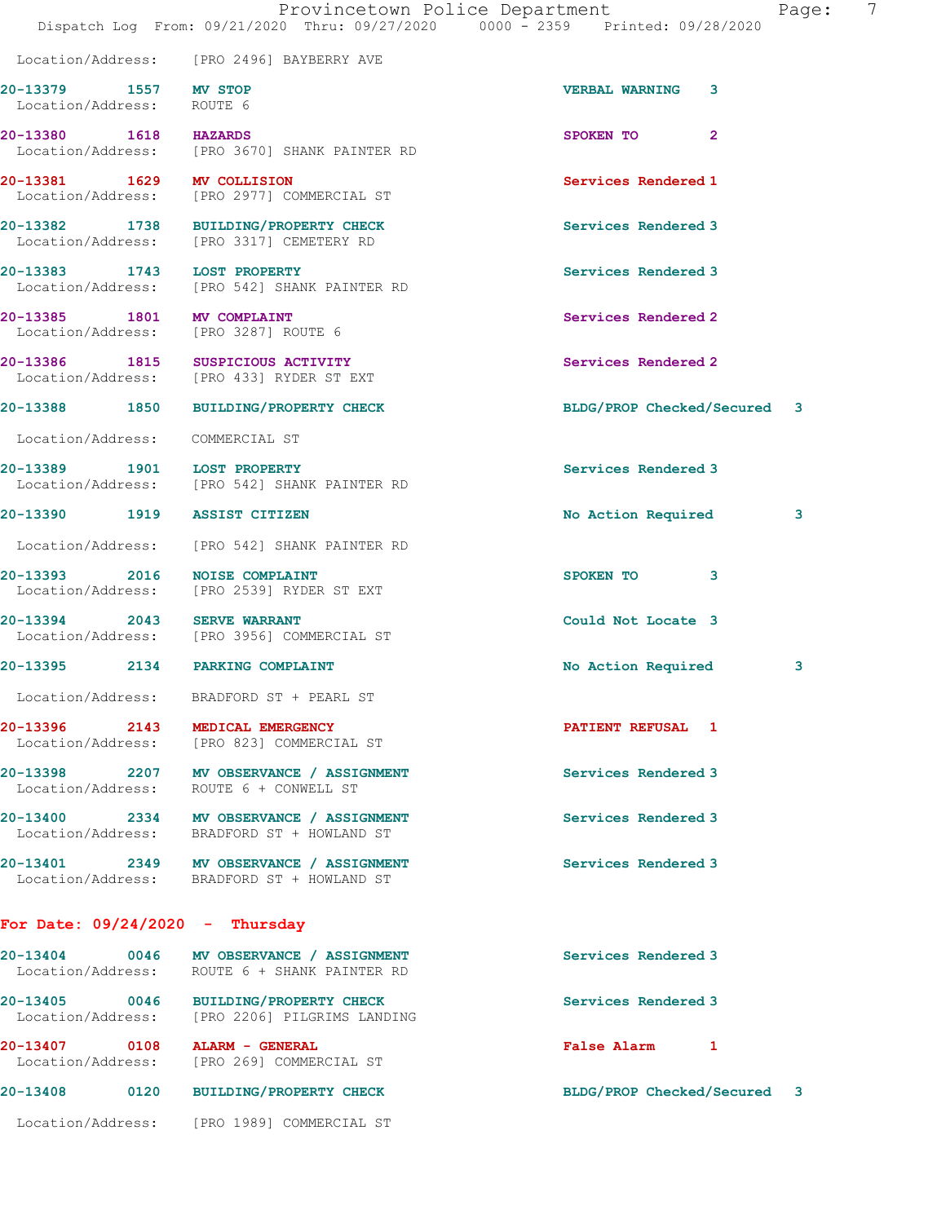|                                                                    | Dispatch Log From: 09/21/2020 Thru: 09/27/2020 0000 - 2359 Printed: 09/28/2020           | Provincetown Police Department | Page: | 7 |
|--------------------------------------------------------------------|------------------------------------------------------------------------------------------|--------------------------------|-------|---|
|                                                                    | Location/Address: [PRO 2496] BAYBERRY AVE                                                |                                |       |   |
| 20-13379 1557 MV STOP<br>Location/Address: ROUTE 6                 |                                                                                          | <b>VERBAL WARNING</b><br>3     |       |   |
| 20-13380 1618 HAZARDS                                              | Location/Address: [PRO 3670] SHANK PAINTER RD                                            | SPOKEN TO<br>$\overline{2}$    |       |   |
| 20-13381 1629 MV COLLISION                                         | Location/Address: [PRO 2977] COMMERCIAL ST                                               | Services Rendered 1            |       |   |
|                                                                    | 20-13382 1738 BUILDING/PROPERTY CHECK<br>Location/Address: [PRO 3317] CEMETERY RD        | Services Rendered 3            |       |   |
|                                                                    | 20-13383 1743 LOST PROPERTY<br>Location/Address: [PRO 542] SHANK PAINTER RD              | Services Rendered 3            |       |   |
| 20-13385 1801 MV COMPLAINT<br>Location/Address: [PRO 3287] ROUTE 6 |                                                                                          | Services Rendered 2            |       |   |
|                                                                    | 20-13386 1815 SUSPICIOUS ACTIVITY<br>Location/Address: [PRO 433] RYDER ST EXT            | Services Rendered 2            |       |   |
|                                                                    | 20-13388 1850 BUILDING/PROPERTY CHECK                                                    | BLDG/PROP Checked/Secured 3    |       |   |
| Location/Address: COMMERCIAL ST                                    |                                                                                          |                                |       |   |
| 20-13389 1901 LOST PROPERTY                                        | Location/Address: [PRO 542] SHANK PAINTER RD                                             | Services Rendered 3            |       |   |
| 20-13390 1919 ASSIST CITIZEN                                       |                                                                                          | No Action Required             | 3     |   |
|                                                                    | Location/Address: [PRO 542] SHANK PAINTER RD                                             |                                |       |   |
| 20-13393 2016 NOISE COMPLAINT                                      | Location/Address: [PRO 2539] RYDER ST EXT                                                | SPOKEN TO 3                    |       |   |
| 20-13394 2043 SERVE WARRANT                                        | Location/Address: [PRO 3956] COMMERCIAL ST                                               | Could Not Locate 3             |       |   |
| 20-13395 2134 PARKING COMPLAINT                                    |                                                                                          | No Action Required             | 3     |   |
|                                                                    | Location/Address: BRADFORD ST + PEARL ST                                                 |                                |       |   |
| 20-13396 2143 MEDICAL EMERGENCY                                    | Location/Address: [PRO 823] COMMERCIAL ST                                                | <b>PATIENT REFUSAL 1</b>       |       |   |
|                                                                    | 20-13398 2207 MV OBSERVANCE / ASSIGNMENT<br>Location/Address: ROUTE 6 + CONWELL ST       | Services Rendered 3            |       |   |
|                                                                    | 20-13400 2334 MV OBSERVANCE / ASSIGNMENT<br>Location/Address: BRADFORD ST + HOWLAND ST   | Services Rendered 3            |       |   |
|                                                                    | 20-13401 2349 MV OBSERVANCE / ASSIGNMENT<br>Location/Address: BRADFORD ST + HOWLAND ST   | Services Rendered 3            |       |   |
| For Date: $09/24/2020 -$ Thursday                                  |                                                                                          |                                |       |   |
|                                                                    | 20-13404 0046 MV OBSERVANCE / ASSIGNMENT<br>Location/Address: ROUTE 6 + SHANK PAINTER RD | Services Rendered 3            |       |   |
|                                                                    | 20-13405 0046 BUILDING/PROPERTY CHECK<br>Location/Address: [PRO 2206] PILGRIMS LANDING   | Services Rendered 3            |       |   |
| 20-13407 0108 ALARM - GENERAL                                      | Location/Address: [PRO 269] COMMERCIAL ST                                                | False Alarm 1                  |       |   |
|                                                                    | 20-13408 0120 BUILDING/PROPERTY CHECK                                                    | BLDG/PROP Checked/Secured 3    |       |   |

Location/Address: [PRO 1989] COMMERCIAL ST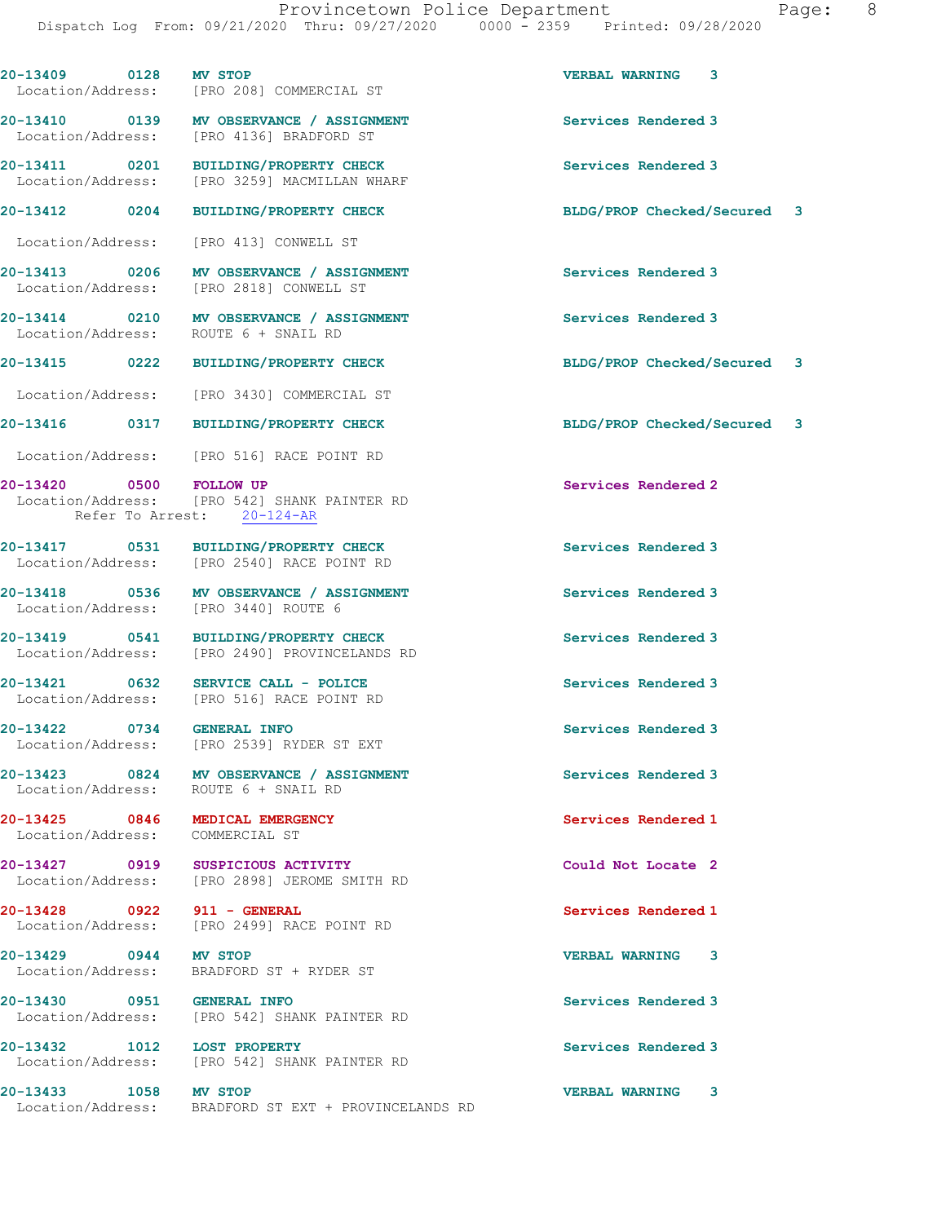20-13409 0128 MV STOP VERBAL WARNING 3 Location/Address: [PRO 208] COMMERCIAL ST 20-13410 0139 MV OBSERVANCE / ASSIGNMENT Services Rendered 3 Location/Address: [PRO 4136] BRADFORD ST 20-13411 0201 BUILDING/PROPERTY CHECK Services Rendered 3 Location/Address: [PRO 3259] MACMILLAN WHARF 20-13412 0204 BUILDING/PROPERTY CHECK BLDG/PROP Checked/Secured 3 Location/Address: [PRO 413] CONWELL ST 20-13413 0206 MV OBSERVANCE / ASSIGNMENT Services Rendered 3 Location/Address: [PRO 2818] CONWELL ST 20-13414 0210 MV OBSERVANCE / ASSIGNMENT Services Rendered 3 Location/Address: ROUTE 6 + SNAIL RD 20-13415 0222 BUILDING/PROPERTY CHECK BLDG/PROP Checked/Secured 3 Location/Address: [PRO 3430] COMMERCIAL ST 20-13416 0317 BUILDING/PROPERTY CHECK BLDG/PROP Checked/Secured 3 Location/Address: [PRO 516] RACE POINT RD 20-13420 0500 FOLLOW UP Services Rendered 2 Location/Address: [PRO 542] SHANK PAINTER RD Refer To Arrest: 20-124-AR 20-13417 0531 BUILDING/PROPERTY CHECK Services Rendered 3 Location/Address: [PRO 2540] RACE POINT RD 20-13418 0536 MV OBSERVANCE / ASSIGNMENT Services Rendered 3 Location/Address: [PRO 3440] ROUTE 6 20-13419 0541 BUILDING/PROPERTY CHECK Services Rendered 3 Location/Address: [PRO 2490] PROVINCELANDS RD 20-13421 0632 SERVICE CALL - POLICE (2008) Services Rendered 3<br>
Location/Address: [PRO 516] RACE POINT RD Location/Address: 20-13422 0734 GENERAL INFO Services Rendered 3 Location/Address: [PRO 2539] RYDER ST EXT 20-13423 0824 MV OBSERVANCE / ASSIGNMENT Services Rendered 3 Location/Address: ROUTE 6 + SNAIL RD 20-13425 0846 MEDICAL EMERGENCY Services Rendered 1 Location/Address: COMMERCIAL ST 20-13427 0919 SUSPICIOUS ACTIVITY Could Not Locate 2 Location/Address: [PRO 2898] JEROME SMITH RD 20-13428 0922 911 - GENERAL Services Rendered 1 Location/Address: [PRO 2499] RACE POINT RD 20-13429 0944 MV STOP VERBAL WARNING 3 Location/Address: BRADFORD ST + RYDER ST 20-13430 0951 GENERAL INFO Services Rendered 3 Location/Address: [PRO 542] SHANK PAINTER RD 20-13432 1012 LOST PROPERTY Services Rendered 3 Location/Address: [PRO 542] SHANK PAINTER RD 20-13433 1058 MV STOP VERBAL WARNING 3

Location/Address: BRADFORD ST EXT + PROVINCELANDS RD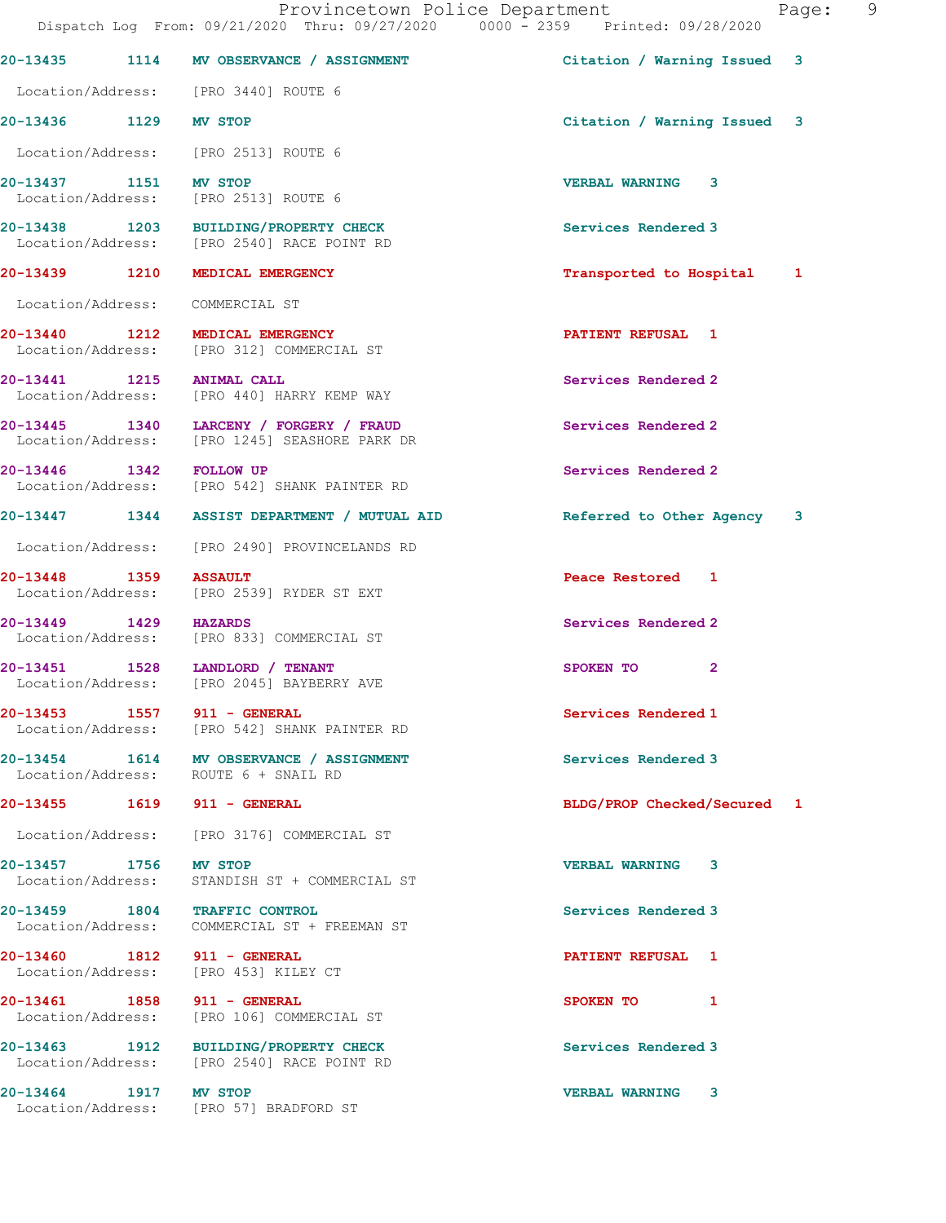|                                                                     | Dispatch Log From: 09/21/2020 Thru: 09/27/2020 0000 - 2359 Printed: 09/28/2020           |                             | $ -$ |
|---------------------------------------------------------------------|------------------------------------------------------------------------------------------|-----------------------------|------|
|                                                                     | 20-13435 1114 MV OBSERVANCE / ASSIGNMENT                                                 | Citation / Warning Issued 3 |      |
| Location/Address: [PRO 3440] ROUTE 6                                |                                                                                          |                             |      |
| 20-13436 1129 MV STOP                                               |                                                                                          | Citation / Warning Issued 3 |      |
| Location/Address: [PRO 2513] ROUTE 6                                |                                                                                          |                             |      |
| 20-13437 1151 MV STOP<br>Location/Address: [PRO 2513] ROUTE 6       |                                                                                          | <b>VERBAL WARNING 3</b>     |      |
|                                                                     | 20-13438 1203 BUILDING/PROPERTY CHECK<br>Location/Address: [PRO 2540] RACE POINT RD      | Services Rendered 3         |      |
| 20-13439 1210 MEDICAL EMERGENCY                                     |                                                                                          | Transported to Hospital 1   |      |
| Location/Address: COMMERCIAL ST                                     |                                                                                          |                             |      |
|                                                                     | 20-13440 1212 MEDICAL EMERGENCY<br>Location/Address: [PRO 312] COMMERCIAL ST             | PATIENT REFUSAL 1           |      |
| 20-13441 1215 ANIMAL CALL                                           | Location/Address: [PRO 440] HARRY KEMP WAY                                               | Services Rendered 2         |      |
|                                                                     | 20-13445 1340 LARCENY / FORGERY / FRAUD<br>Location/Address: [PRO 1245] SEASHORE PARK DR | Services Rendered 2         |      |
| 20-13446 1342 FOLLOW UP                                             | Location/Address: [PRO 542] SHANK PAINTER RD                                             | Services Rendered 2         |      |
|                                                                     | 20-13447 1344 ASSIST DEPARTMENT / MUTUAL AID                                             | Referred to Other Agency 3  |      |
|                                                                     | Location/Address: [PRO 2490] PROVINCELANDS RD                                            |                             |      |
| 20-13448 1359                                                       | <b>ASSAULT</b><br>Location/Address: [PRO 2539] RYDER ST EXT                              | Peace Restored 1            |      |
| 20-13449 1429 HAZARDS                                               | Location/Address: [PRO 833] COMMERCIAL ST                                                | Services Rendered 2         |      |
| 20-13451 1528 LANDLORD / TENANT                                     | Location/Address: [PRO 2045] BAYBERRY AVE                                                | $\overline{2}$<br>SPOKEN TO |      |
| 20-13453 1557 911 - GENERAL                                         | Location/Address: [PRO 542] SHANK PAINTER RD                                             | Services Rendered 1         |      |
| Location/Address: ROUTE 6 + SNAIL RD                                | 20-13454 1614 MV OBSERVANCE / ASSIGNMENT                                                 | Services Rendered 3         |      |
| 20-13455 1619 911 - GENERAL                                         |                                                                                          | BLDG/PROP Checked/Secured 1 |      |
|                                                                     | Location/Address: [PRO 3176] COMMERCIAL ST                                               |                             |      |
| 20-13457 1756 MV STOP                                               | Location/Address: STANDISH ST + COMMERCIAL ST                                            | <b>VERBAL WARNING</b><br>3  |      |
| 20-13459 1804 TRAFFIC CONTROL                                       | Location/Address: COMMERCIAL ST + FREEMAN ST                                             | Services Rendered 3         |      |
| 20-13460 1812 911 - GENERAL<br>Location/Address: [PRO 453] KILEY CT |                                                                                          | <b>PATIENT REFUSAL 1</b>    |      |
| 20-13461 1858 911 - GENERAL                                         | Location/Address: [PRO 106] COMMERCIAL ST                                                | SPOKEN TO 1                 |      |
|                                                                     | 20-13463 1912 BUILDING/PROPERTY CHECK<br>Location/Address: [PRO 2540] RACE POINT RD      | Services Rendered 3         |      |
| 20-13464 1917 MV STOP                                               | Location/Address: [PRO 57] BRADFORD ST                                                   | <b>VERBAL WARNING 3</b>     |      |

Provincetown Police Department Page: 9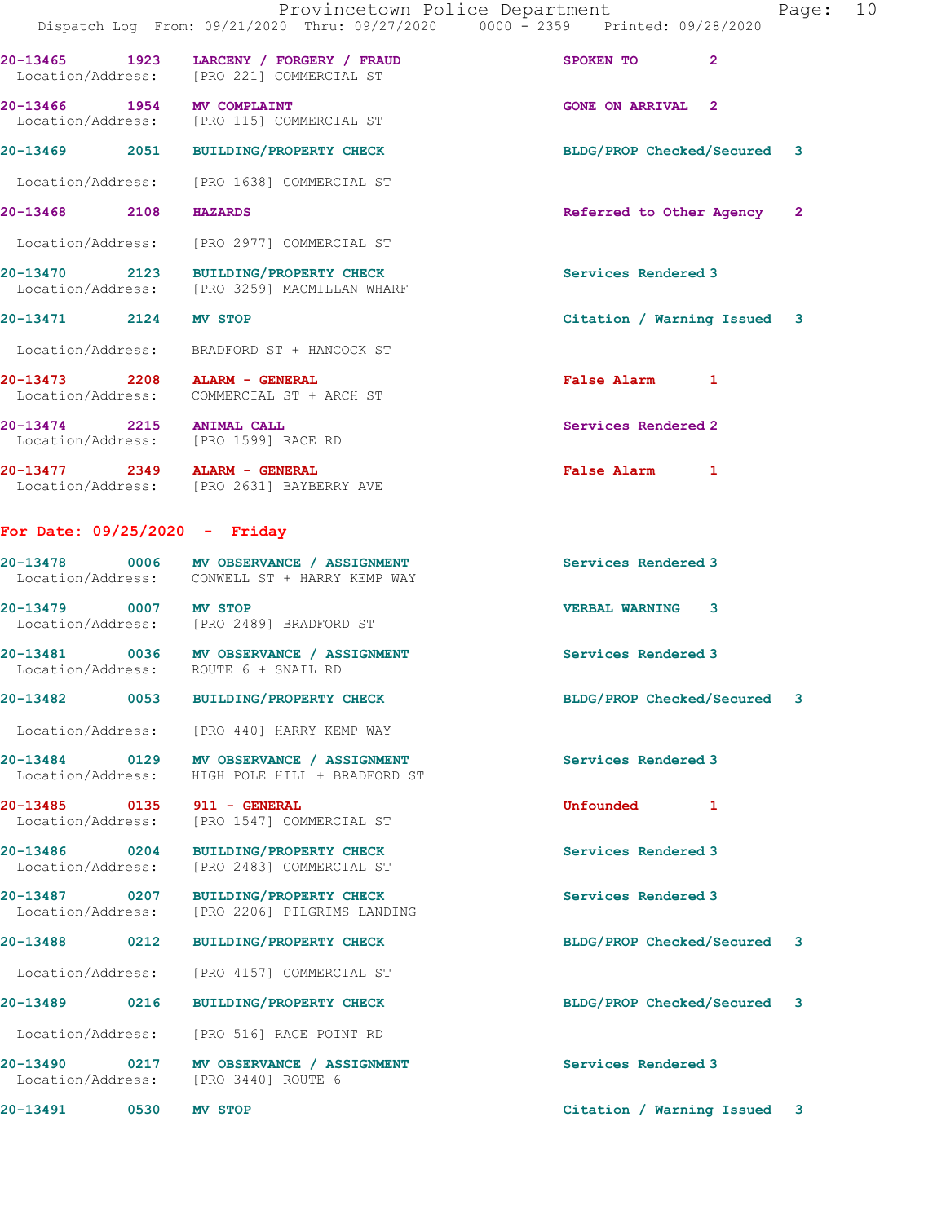20-13469 2051 BUILDING/PROPERTY CHECK BLDG/PROP Checked/Secured 3

20-13466 1954 MV COMPLAINT 1988 (CONE ON ARRIVAL 2 Location/Address: [PRO 115] COMMERCIAL ST

Location/Address: [PRO 1638] COMMERCIAL ST

20-13468 2108 HAZARDS 20 20 20 Referred to Other Agency 2

Location/Address: [PRO 2977] COMMERCIAL ST

20-13470 2123 BUILDING/PROPERTY CHECK Services Rendered 3<br>
Location/Address: [PRO 3259] MACMILLAN WHARF [PRO 3259] MACMILLAN WHARF

## 20-13471 2124 MV STOP Citation / Warning Issued 3

Location/Address: BRADFORD ST + HANCOCK ST

20-13473 2208 ALARM - GENERAL False Alarm 1 Location/Address: COMMERCIAL ST + ARCH ST

20-13474 2215 ANIMAL CALL 20-13474 2215 20-13474 2215 20-13474 2215 ANIMAL CALL Location/Address:

20-13477 2349 ALARM - GENERAL False Alarm 1 Location/Address: [PRO 2631] BAYBERRY AVE

## For Date: 09/25/2020 - Friday

20-13478 0006 MV OBSERVANCE / ASSIGNMENT Services Rendered 3 Location/Address: CONWELL ST + HARRY KEMP WAY 20-13479 0007 MV STOP VERBAL WARNING 3 Location/Address: [PRO 2489] BRADFORD ST 20-13481 0036 MV OBSERVANCE / ASSIGNMENT Services Rendered 3 Location/Address: ROUTE 6 + SNAIL RD

20-13482 0053 BUILDING/PROPERTY CHECK BLDG/PROP Checked/Secured 3

Location/Address: [PRO 440] HARRY KEMP WAY

20-13484 0129 MV OBSERVANCE / ASSIGNMENT Services Rendered 3 Location/Address: HIGH POLE HILL + BRADFORD ST

20-13485 0135 911 - GENERAL Unfounded 1 Location/Address: [PRO 1547] COMMERCIAL ST

20-13486 0204 BUILDING/PROPERTY CHECK Services Rendered 3 Location/Address: [PRO 2483] COMMERCIAL ST

20-13487 0207 BUILDING/PROPERTY CHECK Services Rendered 3<br>
Location/Address: [PRO 2206] PILGRIMS LANDING [PRO 2206] PILGRIMS LANDING

Location/Address: [PRO 4157] COMMERCIAL ST

20-13489 0216 BUILDING/PROPERTY CHECK BLDG/PROP Checked/Secured 3

Location/Address: [PRO 516] RACE POINT RD

20-13490 0217 MV OBSERVANCE / ASSIGNMENT Services Rendered 3 Location/Address: [PRO 3440] ROUTE 6

20-13488 0212 BUILDING/PROPERTY CHECK BLDG/PROP Checked/Secured 3

20-13491 0530 MV STOP Citation / Warning Issued 3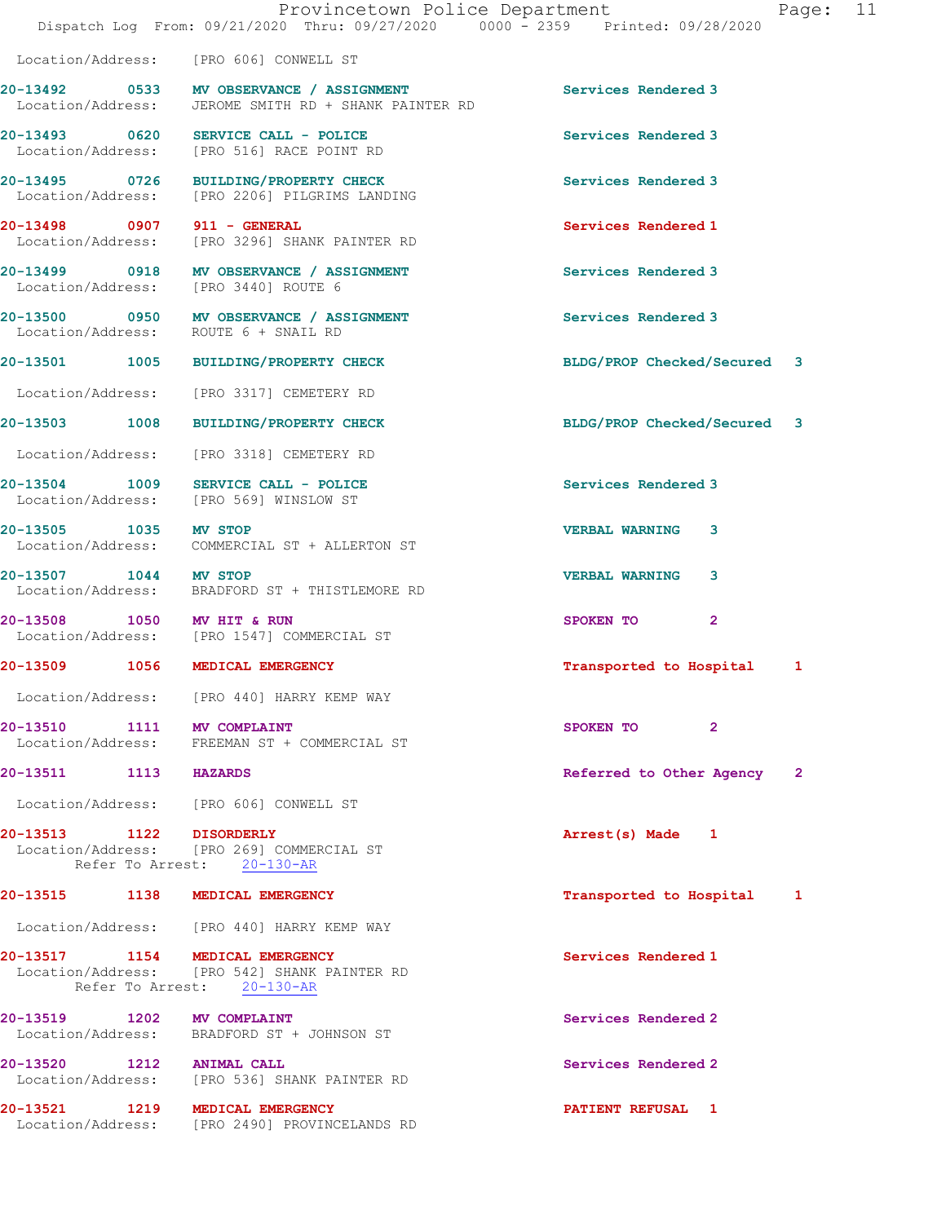Location/Address: [PRO 606] CONWELL ST

20-13492 0533 MV OBSERVANCE / ASSIGNMENT Services Rendered 3 Location/Address: JEROME SMITH RD + SHANK PAINTER RD

20-13498 0907 911 - GENERAL Services Rendered 1

20-13503 1008 BUILDING/PROPERTY CHECK BLDG/PROP Checked/Secured 3

Location/Address: [PRO 3318] CEMETERY RD

20-13504 1009 SERVICE CALL - POLICE 100 SERVICE Services Rendered 3

20-13510 1111 MV COMPLAINT 112 20-13510 2 Location/Address: FREEMAN ST + COMMERCIAL ST

20-13511 1113 HAZARDS Referred to Other Agency 2

Location/Address: [PRO 606] CONWELL ST

20-13513 1122 DISORDERLY **1128** 1120 128 Arrest(s) Made 1 Location/Address: [PRO 269] COMMERCIAL ST

20-13515 1138 MEDICAL EMERGENCY Transported to Hospital 1

Location/Address: [PRO 440] HARRY KEMP WAY

20-13517 1154 MEDICAL EMERGENCY Services Rendered 1 Location/Address: [PRO 542] SHANK PAINTER RD Refer To Arrest: 20-130-AR

20-13519 1202 MV COMPLAINT **1202 Services Rendered 2** Location/Address: BRADFORD ST + JOHNSON ST

20-13520 1212 ANIMAL CALL Services Rendered 2 Location/Address: [PRO 536] SHANK PAINTER RD

20-13521 1219 MEDICAL EMERGENCY **PATIENT REFUSAL** 1 Location/Address: [PRO 2490] PROVINCELANDS RD

20-13493 0620 SERVICE CALL - POLICE Services Rendered 3 Location/Address: [PRO 516] RACE POINT RD 20-13495 0726 BUILDING/PROPERTY CHECK Services Rendered 3

Location/Address: [PRO 2206] PILGRIMS LANDING

Location/Address: [PRO 3296] SHANK PAINTER RD

20-13499 0918 MV OBSERVANCE / ASSIGNMENT Services Rendered 3 Location/Address: [PRO 3440] ROUTE 6

20-13500 0950 MV OBSERVANCE / ASSIGNMENT Services Rendered 3 Location/Address: ROUTE 6 + SNAIL RD

20-13501 1005 BUILDING/PROPERTY CHECK BLDG/PROP Checked/Secured 3

Location/Address: [PRO 3317] CEMETERY RD

Location/Address: [PRO 569] WINSLOW ST

20-13505 1035 MV STOP VERBAL WARNING 3 Location/Address: COMMERCIAL ST + ALLERTON ST

20-13507 1044 MV STOP VERBAL WARNING 3 Location/Address: BRADFORD ST + THISTLEMORE RD

20-13508 1050 MV HIT & RUN SPOKEN TO 2<br>
Location/Address: [PRO 1547] COMMERCIAL ST [PRO 1547] COMMERCIAL ST

20-13509 1056 MEDICAL EMERGENCY Transported to Hospital 1

Location/Address: [PRO 440] HARRY KEMP WAY

Refer To Arrest: 20-130-AR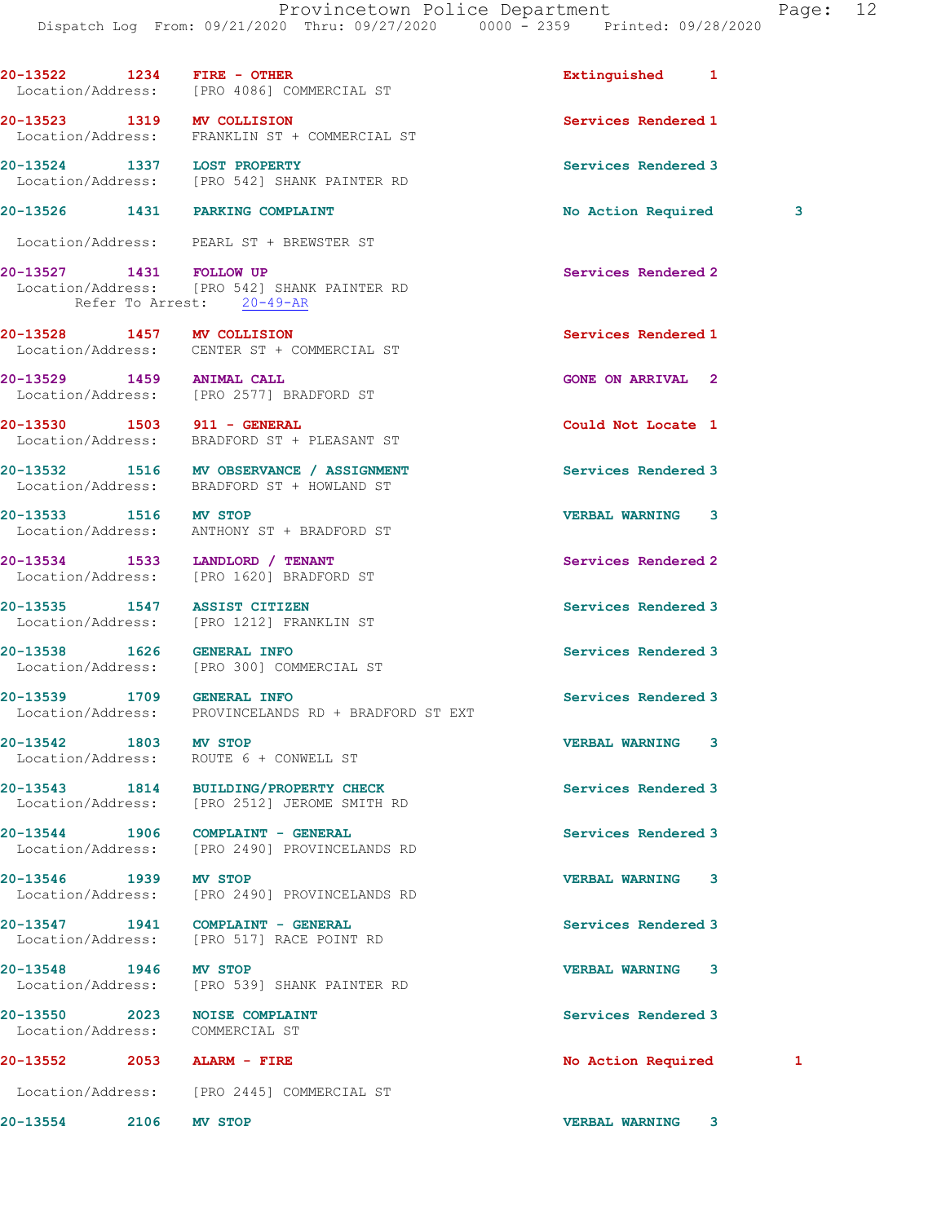20-13522 1234 FIRE - OTHER **Extinguished** 1 Location/Address: [PRO 4086] COMMERCIAL ST 20-13523 1319 MV COLLISION Services Rendered 1 Location/Address: FRANKLIN ST + COMMERCIAL ST 20-13524 1337 LOST PROPERTY **1200 Services Rendered 3**  Location/Address: [PRO 542] SHANK PAINTER RD 20-13526 1431 PARKING COMPLAINT No Action Required 3 Location/Address: PEARL ST + BREWSTER ST 20-13527 1431 FOLLOW UP Services Rendered 2 Location/Address: [PRO 542] SHANK PAINTER RD Refer To Arrest: 20-49-AR 20-13528 1457 MV COLLISION Services Rendered 1 Location/Address: CENTER ST + COMMERCIAL ST 20-13529 1459 ANIMAL CALL GONE ON ARRIVAL 2 Location/Address: [PRO 2577] BRADFORD ST 20-13530 1503 911 - GENERAL Could Not Locate 1 Location/Address: BRADFORD ST + PLEASANT ST 20-13532 1516 MV OBSERVANCE / ASSIGNMENT Services Rendered 3 Location/Address: BRADFORD ST + HOWLAND ST 20-13533 1516 MV STOP VERBAL WARNING 3 Location/Address: ANTHONY ST + BRADFORD ST 20-13534 1533 LANDLORD / TENANT Services Rendered 2 Location/Address: [PRO 1620] BRADFORD ST 20-13535 1547 ASSIST CITIZEN Services Rendered 3 Location/Address: [PRO 1212] FRANKLIN ST 20-13538 1626 GENERAL INFO Services Rendered 3 Location/Address: [PRO 300] COMMERCIAL ST 20-13539 1709 GENERAL INFO **1200 Services Rendered** 3 Location/Address: PROVINCELANDS RD + BRADFORD ST EXT 20-13542 1803 MV STOP VERBAL WARNING 3 Location/Address: ROUTE 6 + CONWELL ST 20-13543 1814 BUILDING/PROPERTY CHECK Services Rendered 3 Location/Address: [PRO 2512] JEROME SMITH RD 20-13544 1906 COMPLAINT - GENERAL Services Rendered 3 Location/Address: [PRO 2490] PROVINCELANDS RD 20-13546 1939 MV STOP<br>Location/Address: [PRO 2490] PROVINCELANDS RD<br>Note of the VERBAL WARNING 3 [PRO 2490] PROVINCELANDS RD 20-13547 1941 COMPLAINT - GENERAL **Services Rendered** 3 Location/Address: [PRO 517] RACE POINT RD 20-13548 1946 MV STOP VERBAL WARNING 3 Location/Address: [PRO 539] SHANK PAINTER RD 20-13550 2023 NOISE COMPLAINT Services Rendered 3 Location/Address: COMMERCIAL ST 20-13552 2053 ALARM - FIRE No Action Required 1 Location/Address: [PRO 2445] COMMERCIAL ST 20-13554 2106 MV STOP VERBAL WARNING 3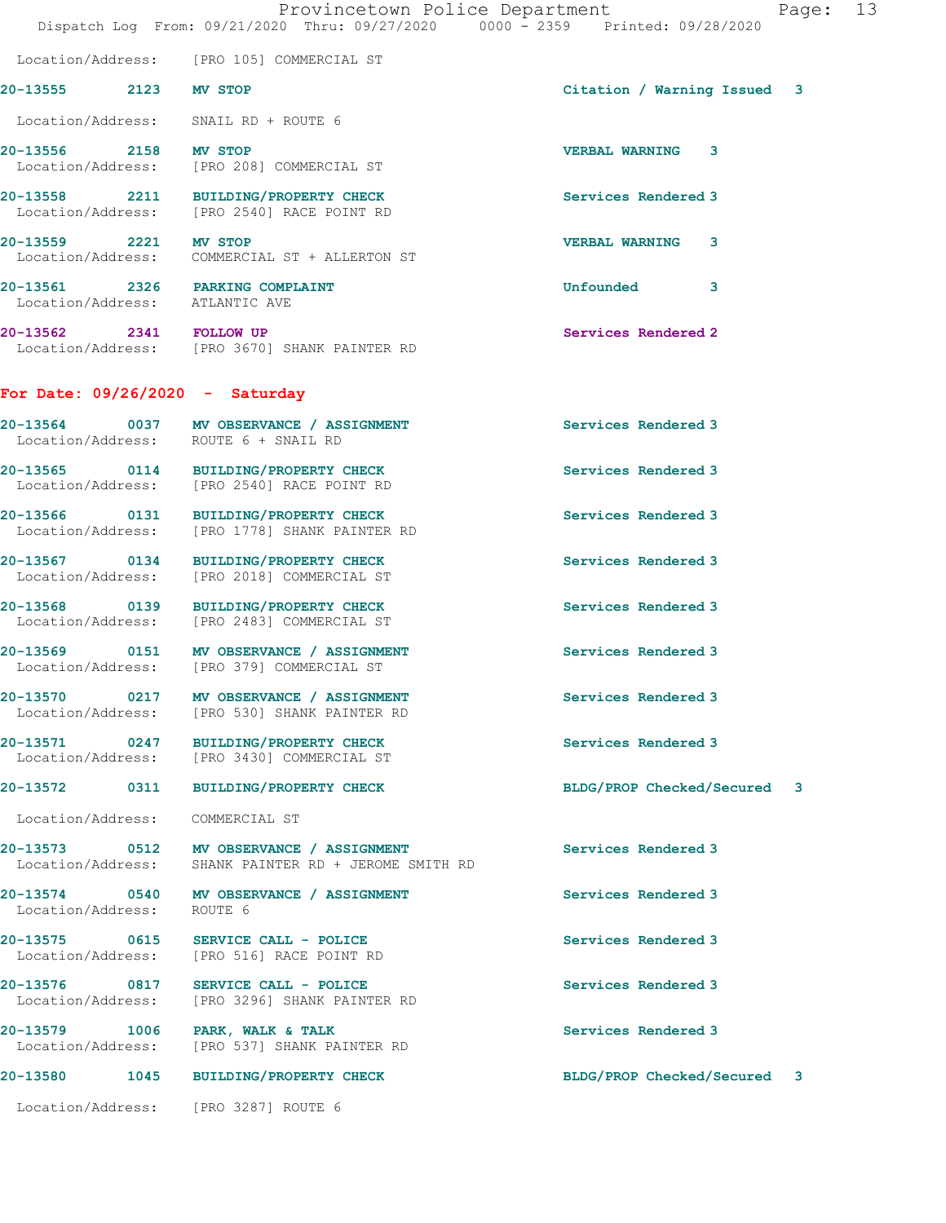|                                    | Dispatch Log From: 09/21/2020 Thru: 09/27/2020 0000 - 2359 Printed: 09/28/2020         | Provincetown Police Department<br>Page: | 13 |
|------------------------------------|----------------------------------------------------------------------------------------|-----------------------------------------|----|
|                                    | Location/Address: [PRO 105] COMMERCIAL ST                                              |                                         |    |
| 20-13555 2123 MV STOP              |                                                                                        | Citation / Warning Issued 3             |    |
|                                    | Location/Address: SNAIL RD + ROUTE 6                                                   |                                         |    |
| 20-13556 2158 MV STOP              | Location/Address: [PRO 208] COMMERCIAL ST                                              | <b>VERBAL WARNING 3</b>                 |    |
|                                    | 20-13558 2211 BUILDING/PROPERTY CHECK<br>Location/Address: [PRO 2540] RACE POINT RD    | Services Rendered 3                     |    |
|                                    | 20-13559 2221 MV STOP<br>Location/Address: COMMERCIAL ST + ALLERTON ST                 | <b>VERBAL WARNING 3</b>                 |    |
|                                    | 20-13561 2326 PARKING COMPLAINT<br>Location/Address: ATLANTIC AVE                      | <b>Unfounded</b><br>3                   |    |
| 20-13562 2341 FOLLOW UP            | Location/Address: [PRO 3670] SHANK PAINTER RD                                          | Services Rendered 2                     |    |
|                                    | For Date: $09/26/2020 -$ Saturday                                                      |                                         |    |
|                                    | 20-13564 0037 MV OBSERVANCE / ASSIGNMENT<br>Location/Address: ROUTE 6 + SNAIL RD       | Services Rendered 3                     |    |
|                                    | 20-13565 0114 BUILDING/PROPERTY CHECK<br>Location/Address: [PRO 2540] RACE POINT RD    | Services Rendered 3                     |    |
|                                    | 20-13566 0131 BUILDING/PROPERTY CHECK<br>Location/Address: [PRO 1778] SHANK PAINTER RD | Services Rendered 3                     |    |
| Location/Address:                  | 20-13567 0134 BUILDING/PROPERTY CHECK<br>[PRO 2018] COMMERCIAL ST                      | Services Rendered 3                     |    |
|                                    | 20-13568 0139 BUILDING/PROPERTY CHECK<br>Location/Address: [PRO 2483] COMMERCIAL ST    | Services Rendered 3                     |    |
|                                    | 20-13569 0151 MV OBSERVANCE / ASSIGNMENT<br>Location/Address: [PRO 379] COMMERCIAL ST  | Services Rendered 3                     |    |
| Location/Address:                  | 20-13570 0217 MV OBSERVANCE / ASSIGNMENT<br>[PRO 530] SHANK PAINTER RD                 | Services Rendered 3                     |    |
|                                    | 20-13571 0247 BUILDING/PROPERTY CHECK<br>Location/Address: [PRO 3430] COMMERCIAL ST    | Services Rendered 3                     |    |
| 20-13572                           | 0311<br><b>BUILDING/PROPERTY CHECK</b>                                                 | BLDG/PROP Checked/Secured 3             |    |
| Location/Address:                  | COMMERCIAL ST                                                                          |                                         |    |
| Location/Address:                  | 20-13573 0512 MV OBSERVANCE / ASSIGNMENT<br>SHANK PAINTER RD + JEROME SMITH RD         | Services Rendered 3                     |    |
| Location/Address:                  | 20-13574 0540 MV OBSERVANCE / ASSIGNMENT<br>ROUTE 6                                    | Services Rendered 3                     |    |
| 20-13575 0615<br>Location/Address: | SERVICE CALL - POLICE<br>[PRO 516] RACE POINT RD                                       | Services Rendered 3                     |    |
| 20-13576 0817<br>Location/Address: | SERVICE CALL - POLICE<br>[PRO 3296] SHANK PAINTER RD                                   | Services Rendered 3                     |    |
| Location/Address:                  | 20-13579 1006 PARK, WALK & TALK<br>[PRO 537] SHANK PAINTER RD                          | Services Rendered 3                     |    |
|                                    | 20-13580 1045 BUILDING/PROPERTY CHECK                                                  | BLDG/PROP Checked/Secured 3             |    |
|                                    | Location/Address: [PRO 3287] ROUTE 6                                                   |                                         |    |
|                                    |                                                                                        |                                         |    |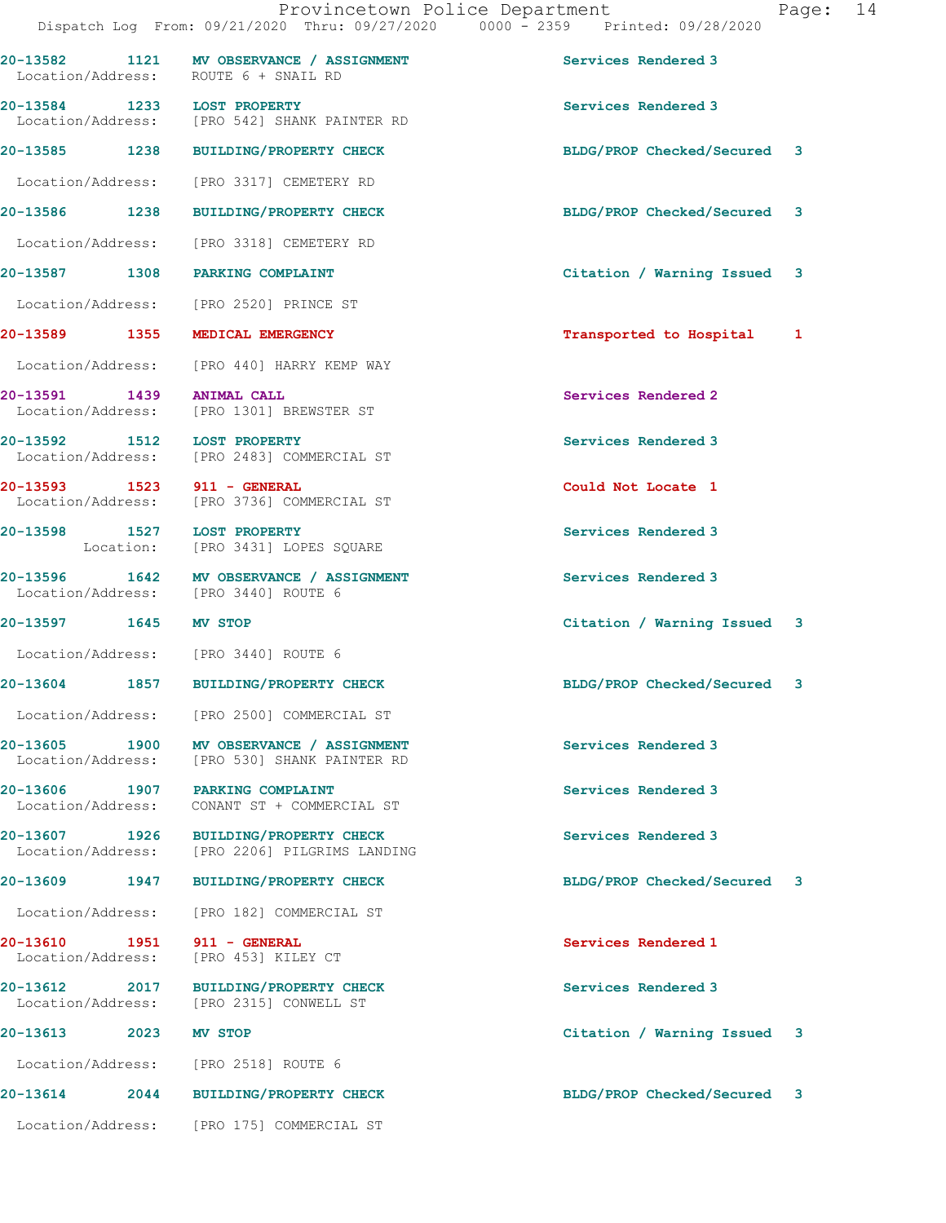|                                                      | 20-13582 1121 MV OBSERVANCE / ASSIGNMENT<br>Location/Address: ROUTE 6 + SNAIL RD | Services Rendered 3         |  |
|------------------------------------------------------|----------------------------------------------------------------------------------|-----------------------------|--|
| 20-13584 1233 LOST PROPERTY                          | Location/Address: [PRO 542] SHANK PAINTER RD                                     | Services Rendered 3         |  |
|                                                      | 20-13585 1238 BUILDING/PROPERTY CHECK                                            | BLDG/PROP Checked/Secured 3 |  |
|                                                      | Location/Address: [PRO 3317] CEMETERY RD                                         |                             |  |
|                                                      | 20-13586 1238 BUILDING/PROPERTY CHECK                                            | BLDG/PROP Checked/Secured 3 |  |
|                                                      | Location/Address: [PRO 3318] CEMETERY RD                                         |                             |  |
| 20-13587 1308 PARKING COMPLAINT                      |                                                                                  | Citation / Warning Issued 3 |  |
|                                                      | Location/Address: [PRO 2520] PRINCE ST                                           |                             |  |
| 20-13589 1355 MEDICAL EMERGENCY                      |                                                                                  | Transported to Hospital 1   |  |
|                                                      | Location/Address: [PRO 440] HARRY KEMP WAY                                       |                             |  |
|                                                      | 20-13591 1439 ANIMAL CALL<br>Location/Address: [PRO 1301] BREWSTER ST            | Services Rendered 2         |  |
| 20-13592 1512 LOST PROPERTY                          | Location/Address: [PRO 2483] COMMERCIAL ST                                       | Services Rendered 3         |  |
| 20-13593 1523 911 - GENERAL                          | Location/Address: [PRO 3736] COMMERCIAL ST                                       | Could Not Locate 1          |  |
| 20-13598 1527 LOST PROPERTY                          | Location: [PRO 3431] LOPES SQUARE                                                | Services Rendered 3         |  |
|                                                      | 20-13596 1642 MV OBSERVANCE / ASSIGNMENT<br>Location/Address: [PRO 3440] ROUTE 6 | Services Rendered 3         |  |
| 20-13597 1645 MV STOP                                |                                                                                  | Citation / Warning Issued 3 |  |
| Location/Address: [PRO 3440] ROUTE 6                 |                                                                                  |                             |  |
|                                                      | 20-13604 1857 BUILDING/PROPERTY CHECK                                            | BLDG/PROP Checked/Secured 3 |  |
|                                                      | Location/Address: [PRO 2500] COMMERCIAL ST                                       |                             |  |
| 1900<br>20-13605<br>Location/Address:                | MV OBSERVANCE / ASSIGNMENT<br>[PRO 530] SHANK PAINTER RD                         | Services Rendered 3         |  |
| 20-13606 1907 PARKING COMPLAINT<br>Location/Address: | CONANT ST + COMMERCIAL ST                                                        | Services Rendered 3         |  |
| 20-13607 1926<br>Location/Address:                   | <b>BUILDING/PROPERTY CHECK</b><br>[PRO 2206] PILGRIMS LANDING                    | Services Rendered 3         |  |
| 20-13609 1947                                        | <b>BUILDING/PROPERTY CHECK</b>                                                   | BLDG/PROP Checked/Secured 3 |  |
| Location/Address:                                    | [PRO 182] COMMERCIAL ST                                                          |                             |  |
| 20-13610 1951<br>Location/Address:                   | 911 - GENERAL<br>[PRO 453] KILEY CT                                              | Services Rendered 1         |  |
| 20-13612 2017<br>Location/Address:                   | BUILDING/PROPERTY CHECK<br>[PRO 2315] CONWELL ST                                 | Services Rendered 3         |  |
| 20-13613<br>2023                                     | MV STOP                                                                          | Citation / Warning Issued 3 |  |
|                                                      | Location/Address: [PRO 2518] ROUTE 6                                             |                             |  |
|                                                      | 20-13614 2044 BUILDING/PROPERTY CHECK                                            | BLDG/PROP Checked/Secured 3 |  |
|                                                      | Location/Address: [PRO 175] COMMERCIAL ST                                        |                             |  |
|                                                      |                                                                                  |                             |  |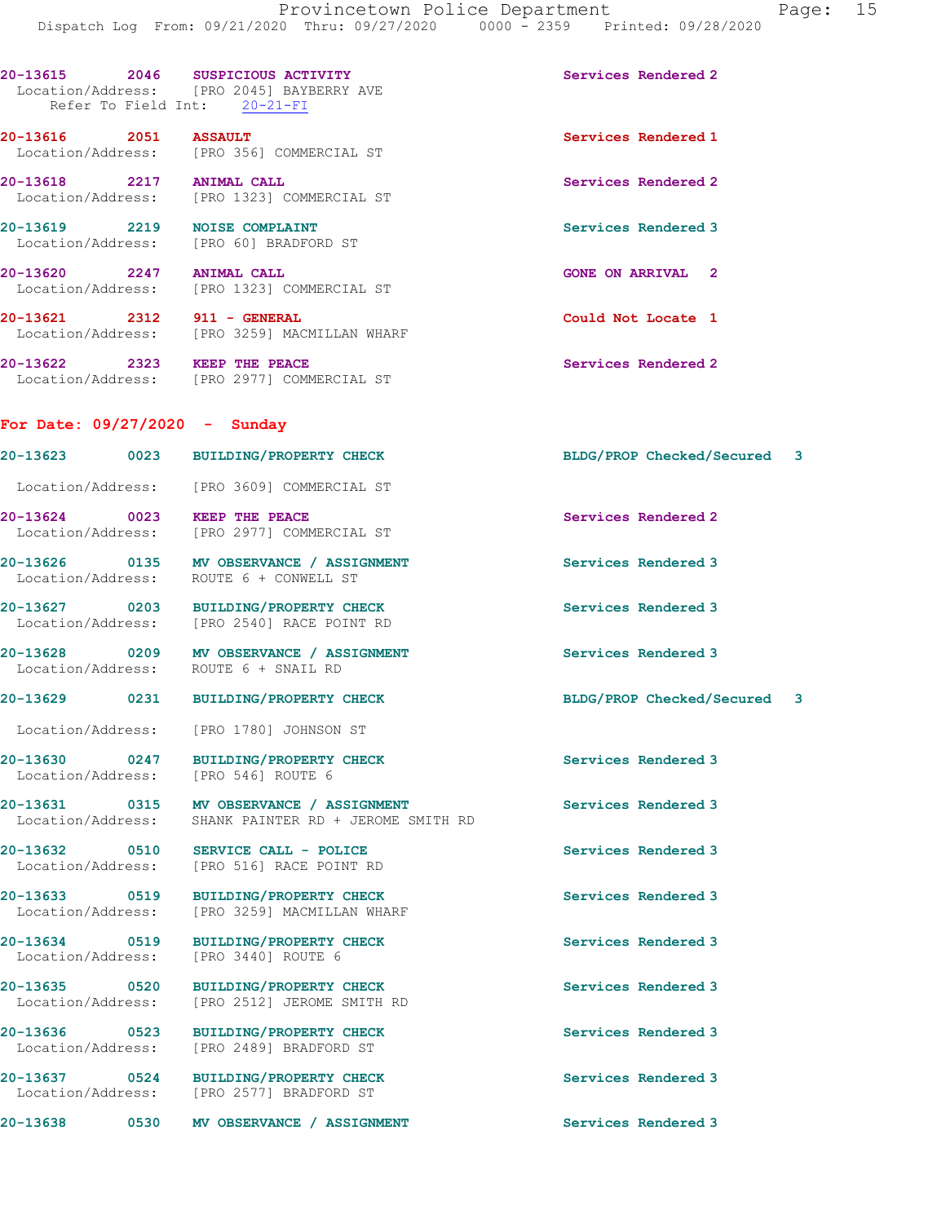| 20-13615<br>Refer To Field Int:       | 2046<br>SUSPICIOUS ACTIVITY<br>Location/Address: [PRO 2045] BAYBERRY AVE<br>$20-21-FI$ | Services Rendered 2 |
|---------------------------------------|----------------------------------------------------------------------------------------|---------------------|
| 20-13616<br>2051                      | <b>ASSAULT</b><br>Location/Address: [PRO 356] COMMERCIAL ST                            | Services Rendered 1 |
| 20-13618<br>2217<br>Location/Address: | <b>ANIMAL CALL</b><br>FPRO 13231 COMMERCIAL ST                                         | Services Rendered 2 |

20-13619 2219 NOISE COMPLAINT Services Rendered 3 Location/Address: [PRO 60] BRADFORD ST

20-13620 2247 ANIMAL CALL GONE ON ARRIVAL 2 Location/Address: [PRO 1323] COMMERCIAL ST

20-13621 2312 911 - GENERAL Could Not Locate 1 Location/Address: [PRO 3259] MACMILLAN WHARF 20-13622 2323 KEEP THE PEACE Services Rendered 2

Location/Address: [PRO 2977] COMMERCIAL ST

## For Date: 09/27/2020 - Sunday

| 20-13623                      | 0023 | <b>BUILDING/PROPERTY CHECK</b>                             | BLDG/PROP Checked/Secured 3      |   |
|-------------------------------|------|------------------------------------------------------------|----------------------------------|---|
| Location/Address:             |      | [PRO 3609] COMMERCIAL ST                                   |                                  |   |
| 20-13624<br>Location/Address: | 0023 | KEEP THE PEACE<br>FPRO 29771 COMMERCIAL ST                 | Services Rendered 2              |   |
| 20-13626<br>Location/Address: | 0135 | MV OBSERVANCE / ASSIGNMENT<br>ROUTE 6 + CONWELL ST         | Services Rendered 3              |   |
| 20-13627<br>Location/Address: | 0203 | <b>BUILDING/PROPERTY CHECK</b><br>[PRO 2540] RACE POINT RD | Services Rendered 3              |   |
| 20-13628<br>Location/Address: | 0209 | MV OBSERVANCE / ASSIGNMENT<br>ROUTE 6 + SNAIL RD           | Services Rendered 3              |   |
| 20-13629                      | 0231 | <b>BUILDING/PROPERTY CHECK</b>                             | <b>BLDG/PROP Checked/Secured</b> | 3 |

Location/Address: [PRO 1780] JOHNSON ST

Location/Address: [PRO 546] ROUTE 6

Location/Address: [PRO 3440] ROUTE 6

20-13630 0247 BUILDING/PROPERTY CHECK Services Rendered 3

20-13631 0315 MV OBSERVANCE / ASSIGNMENT Services Rendered 3 Location/Address: SHANK PAINTER RD + JEROME SMITH RD

20-13632 0510 SERVICE CALL - POLICE 20 Services Rendered 3 Location/Address: [PRO 516] RACE POINT RD

20-13633 0519 BUILDING/PROPERTY CHECK Services Rendered 3<br>
Location/Address: [PRO 3259] MACMILLAN WHARF [PRO 3259] MACMILLAN WHARF

20-13634 0519 BUILDING/PROPERTY CHECK Services Rendered 3

20-13635 0520 BUILDING/PROPERTY CHECK Services Rendered 3 Location/Address: [PRO 2512] JEROME SMITH RD

20-13636 0523 BUILDING/PROPERTY CHECK Services Rendered 3 Location/Address: [PRO 2489] BRADFORD ST

20-13637 0524 BUILDING/PROPERTY CHECK Services Rendered 3 Location/Address: [PRO 2577] BRADFORD ST

20-13638 0530 MV OBSERVANCE / ASSIGNMENT Services Rendered 3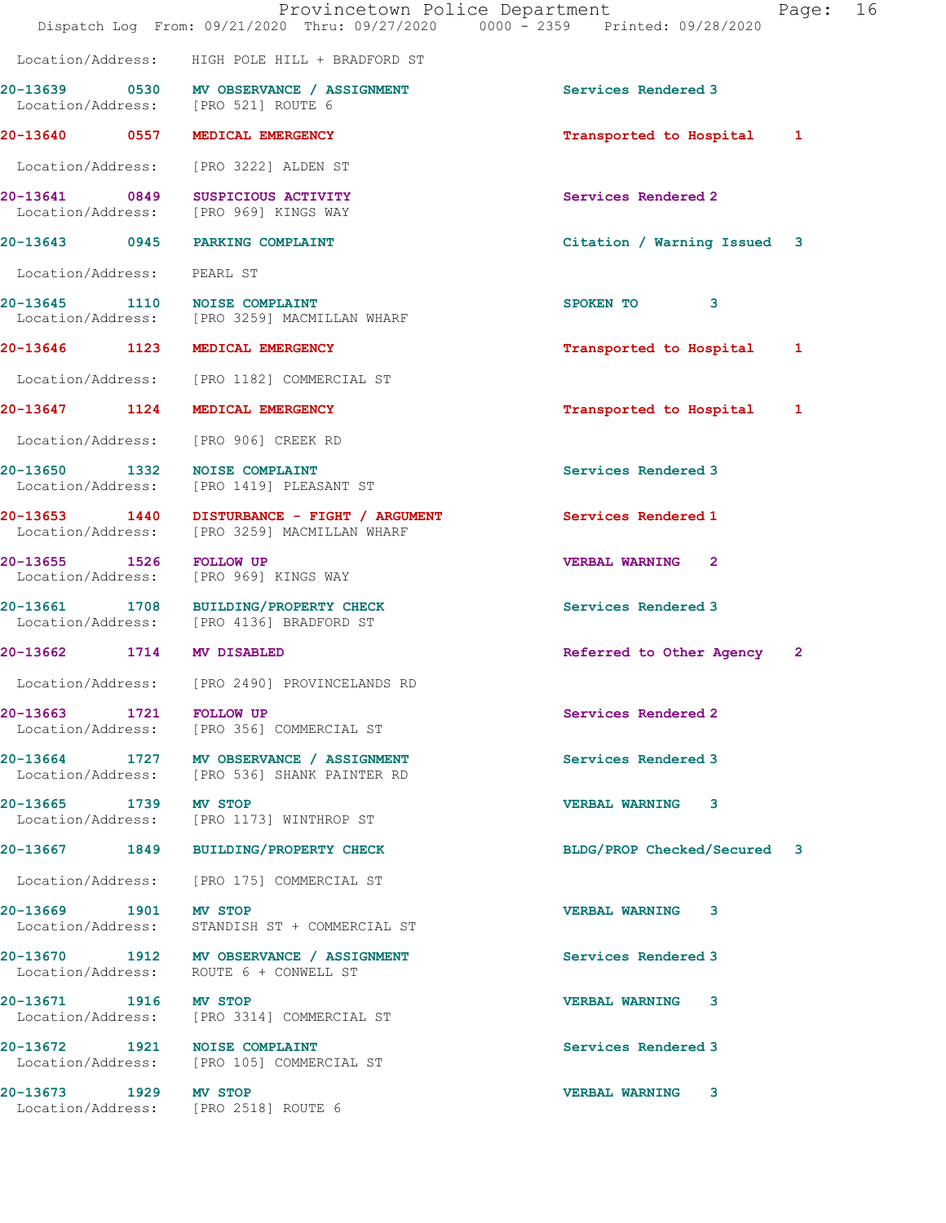|                            | Dispatch Log From: 09/21/2020 Thru: 09/27/2020 0000 - 2359 Printed: 09/28/2020               | Provincetown Police Department<br>16<br>Page: |
|----------------------------|----------------------------------------------------------------------------------------------|-----------------------------------------------|
|                            | Location/Address: HIGH POLE HILL + BRADFORD ST                                               |                                               |
|                            | 20-13639 0530 MV OBSERVANCE / ASSIGNMENT<br>Location/Address: [PRO 521] ROUTE 6              | Services Rendered 3                           |
|                            | 20-13640 0557 MEDICAL EMERGENCY                                                              | Transported to Hospital 1                     |
|                            | Location/Address: [PRO 3222] ALDEN ST                                                        |                                               |
|                            | 20-13641 0849 SUSPICIOUS ACTIVITY<br>Location/Address: [PRO 969] KINGS WAY                   | Services Rendered 2                           |
|                            | 20-13643 0945 PARKING COMPLAINT                                                              | Citation / Warning Issued 3                   |
| Location/Address: PEARL ST |                                                                                              |                                               |
|                            | 20-13645 1110 NOISE COMPLAINT<br>Location/Address: [PRO 3259] MACMILLAN WHARF                | SPOKEN TO<br>3                                |
|                            | 20-13646 1123 MEDICAL EMERGENCY                                                              | Transported to Hospital 1                     |
|                            | Location/Address: [PRO 1182] COMMERCIAL ST                                                   |                                               |
|                            | 20-13647 1124 MEDICAL EMERGENCY                                                              | Transported to Hospital 1                     |
|                            | Location/Address: [PRO 906] CREEK RD                                                         |                                               |
| Location/Address:          | 20-13650 1332 NOISE COMPLAINT<br>[PRO 1419] PLEASANT ST                                      | Services Rendered 3                           |
|                            | 20-13653 1440 DISTURBANCE - FIGHT / ARGUMENT<br>Location/Address: [PRO 3259] MACMILLAN WHARF | Services Rendered 1                           |
| 20-13655 1526 FOLLOW UP    | Location/Address: [PRO 969] KINGS WAY                                                        | <b>VERBAL WARNING 2</b>                       |
| 20-13661                   | 1708 BUILDING/PROPERTY CHECK<br>Location/Address: [PRO 4136] BRADFORD ST                     | Services Rendered 3                           |
|                            | 20-13662 1714 MV DISABLED                                                                    | Referred to Other Agency<br>$\mathbf{2}$      |
|                            | Location/Address: [PRO 2490] PROVINCELANDS RD                                                |                                               |
|                            | 20-13663 1721 FOLLOW UP<br>Location/Address: [PRO 356] COMMERCIAL ST                         | Services Rendered 2                           |
|                            | 20-13664 1727 MV OBSERVANCE / ASSIGNMENT<br>Location/Address: [PRO 536] SHANK PAINTER RD     | Services Rendered 3                           |
| 20-13665 1739 MV STOP      | Location/Address: [PRO 1173] WINTHROP ST                                                     | <b>VERBAL WARNING 3</b>                       |
|                            | 20-13667 1849 BUILDING/PROPERTY CHECK                                                        | BLDG/PROP Checked/Secured 3                   |
|                            | Location/Address: [PRO 175] COMMERCIAL ST                                                    |                                               |
| 20-13669 1901 MV STOP      | Location/Address: STANDISH ST + COMMERCIAL ST                                                | <b>VERBAL WARNING 3</b>                       |
|                            | 20-13670 1912 MV OBSERVANCE / ASSIGNMENT<br>Location/Address: ROUTE 6 + CONWELL ST           | Services Rendered 3                           |
| 20-13671 1916 MV STOP      | Location/Address: [PRO 3314] COMMERCIAL ST                                                   | VERBAL WARNING 3                              |
|                            | 20-13672 1921 NOISE COMPLAINT<br>Location/Address: [PRO 105] COMMERCIAL ST                   | Services Rendered 3                           |
| 20-13673 1929 MV STOP      | Location/Address: [PRO 2518] ROUTE 6                                                         | VERBAL WARNING 3                              |
|                            |                                                                                              |                                               |